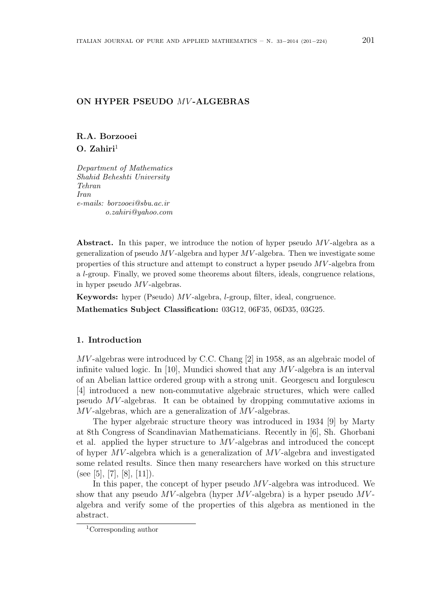## ON HYPER PSEUDO MV-ALGEBRAS

# R.A. Borzooei  $O. Zahiri<sup>1</sup>$

Department of Mathematics Shahid Beheshti University Tehran Iran e-mails: borzooei@sbu.ac.ir o.zahiri@yahoo.com

Abstract. In this paper, we introduce the notion of hyper pseudo  $MV$ -algebra as a generalization of pseudo  $MV$ -algebra and hyper  $MV$ -algebra. Then we investigate some properties of this structure and attempt to construct a hyper pseudo MV -algebra from a l-group. Finally, we proved some theorems about filters, ideals, congruence relations, in hyper pseudo  $MV$ -algebras.

Keywords: hyper (Pseudo) MV -algebra, l-group, filter, ideal, congruence. Mathematics Subject Classification: 03G12, 06F35, 06D35, 03G25.

## 1. Introduction

MV -algebras were introduced by C.C. Chang [2] in 1958, as an algebraic model of infinite valued logic. In [10], Mundici showed that any  $MV$ -algebra is an interval of an Abelian lattice ordered group with a strong unit. Georgescu and Iorgulescu [4] introduced a new non-commutative algebraic structures, which were called pseudo MV -algebras. It can be obtained by dropping commutative axioms in MV-algebras, which are a generalization of MV-algebras.

The hyper algebraic structure theory was introduced in 1934 [9] by Marty at 8th Congress of Scandinavian Mathematicians. Recently in [6], Sh. Ghorbani et al. applied the hyper structure to MV -algebras and introduced the concept of hyper  $MV$ -algebra which is a generalization of  $MV$ -algebra and investigated some related results. Since then many researchers have worked on this structure (see [5], [7], [8], [11]).

In this paper, the concept of hyper pseudo  $MV$ -algebra was introduced. We show that any pseudo  $MV$ -algebra (hyper  $MV$ -algebra) is a hyper pseudo  $MV$ algebra and verify some of the properties of this algebra as mentioned in the abstract.

<sup>1</sup>Corresponding author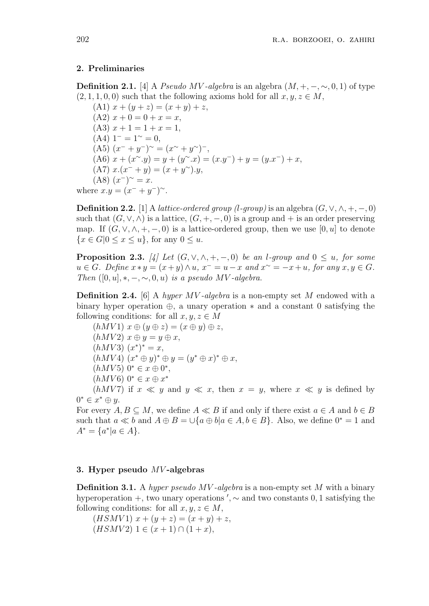#### 2. Preliminaries

**Definition 2.1.** [4] A *Pseudo MV-algebra* is an algebra  $(M, +, -, \sim, 0, 1)$  of type  $(2, 1, 1, 0, 0)$  such that the following axioms hold for all  $x, y, z \in M$ ,

(A1)  $x + (y + z) = (x + y) + z$ ,  $(A2)$   $x + 0 = 0 + x = x$ ,  $(A3)$   $x + 1 = 1 + x = 1$ ,  $(A4)$  1<sup>-</sup> = 1<sup>∼</sup> = 0, (A5)  $(x^- + y^-)$ <sup>~</sup> =  $(x^{\sim} + y^{\sim})^-$ , (A6)  $x + (x^{\sim}.y) = y + (y^{\sim}.x) = (x.y^{-}) + y = (y.x^{-}) + x$ , (A7)  $x.(x^- + y) = (x + y^{\sim}).y$ ,  $(A8)$   $(x^-)$ <sup>~</sup> = x. where  $x.y = (x^{-} + y^{-})^{\sim}$ .

**Definition 2.2.** [1] A *lattice-ordered group (l-group)* is an algebra  $(G, \vee, \wedge, +, -, 0)$ such that  $(G, \vee, \wedge)$  is a lattice,  $(G, +, -, 0)$  is a group and + is an order preserving map. If  $(G, \vee, \wedge, +, -, 0)$  is a lattice-ordered group, then we use  $[0, u]$  to denote  $\{x \in G | 0 \le x \le u\}$ , for any  $0 \le u$ .

**Proposition 2.3.** [4] Let  $(G, \vee, \wedge, +, -, 0)$  be an l-group and  $0 \le u$ , for some  $u \in G$ . Define  $x * y = (x + y) \wedge u$ ,  $x^- = u - x$  and  $x^{\sim} = -x + u$ , for any  $x, y \in G$ . Then  $([0, u], *, -, \sim, 0, u)$  is a pseudo MV-algebra.

**Definition 2.4.** [6] A *hyper MV-algebra* is a non-empty set M endowed with a binary hyper operation ⊕, a unary operation ∗ and a constant 0 satisfying the following conditions: for all  $x, y, z \in M$ 

 $(hMV1) x \oplus (y \oplus z) = (x \oplus y) \oplus z,$  $(hMV2)$   $x \oplus y = y \oplus x$ ,  $(hMV3)(x^*)^* = x,$  $(hMV4)$   $(x^* \oplus y)^* \oplus y = (y^* \oplus x)^* \oplus x$ ,  $(hMV5)$   $0^* \in x \oplus 0^*$ ,  $(hMV6)$   $0^* \in x \oplus x^*$ (hMV7) if  $x \ll y$  and  $y \ll x$ , then  $x = y$ , where  $x \ll y$  is defined by  $0^* \in x^* \oplus y$ .

For every  $A, B \subseteq M$ , we define  $A \ll B$  if and only if there exist  $a \in A$  and  $b \in B$ such that  $a \ll b$  and  $A \oplus B = \bigcup \{a \oplus b | a \in A, b \in B\}$ . Also, we define  $0^* = 1$  and  $A^* = \{a^* | a \in A\}.$ 

#### 3. Hyper pseudo MV -algebras

**Definition 3.1.** A hyper pseudo  $MV$ -algebra is a non-empty set M with a binary hyperoperation  $+$ , two unary operations ',  $\sim$  and two constants 0, 1 satisfying the following conditions: for all  $x, y, z \in M$ ,

 $(HSMV1) x + (y + z) = (x + y) + z,$  $(HSMV2)$  1 ∈  $(x+1) \cap (1+x)$ ,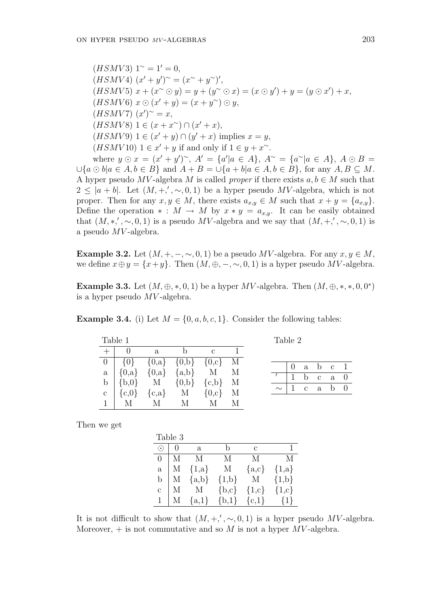$(HSMV3)$  1<sup>∼</sup> = 1' = 0,  $(HSMV4)$   $(x'+y')^{\sim} = (x^{\sim} + y^{\sim})',$  $(HSMV5) x + (x^{\sim} \odot y) = y + (y^{\sim} \odot x) = (x \odot y') + y = (y \odot x') + x,$  $(HSMV6)$   $x \odot (x'+y) = (x+y^{\sim}) \odot y,$  $(HSMV7)$   $(x')^{\sim} = x,$  $(HSMV8) 1 \in (x + x^{\sim}) \cap (x' + x),$  $(HSMV9)$   $1 \in (x'+y) \cap (y'+x)$  implies  $x=y$ ,  $(HSMV10)$  1 ∈  $x' + y$  if and only if 1 ∈  $y + x^{\sim}$ .

where  $y \odot x = (x' + y')^{\sim}$ ,  $A' = \{a'|a \in A\}$ ,  $A^{\sim} = \{a^{\sim}|a \in A\}$ ,  $A \odot B =$  $\bigcup \{a \odot b | a \in A, b \in B\}$  and  $A + B = \bigcup \{a + b | a \in A, b \in B\}$ , for any  $A, B \subseteq M$ . A hyper pseudo MV-algebra M is called proper if there exists  $a, b \in M$  such that  $2 \leq |a+b|$ . Let  $(M, +, ', \sim, 0, 1)$  be a hyper pseudo MV-algebra, which is not proper. Then for any  $x, y \in M$ , there exists  $a_{x,y} \in M$  such that  $x + y = \{a_{x,y}\}.$ Define the operation  $* : M \to M$  by  $x * y = a_{x,y}$ . It can be easily obtained that  $(M, *, ', \sim, 0, 1)$  is a pseudo MV-algebra and we say that  $(M, +, ', \sim, 0, 1)$  is a pseudo  $MV$ -algebra.

**Example 3.2.** Let  $(M, +, -, \sim, 0, 1)$  be a pseudo MV-algebra. For any  $x, y \in M$ , we define  $x \oplus y = \{x+y\}$ . Then  $(M, \oplus, -, \sim, 0, 1)$  is a hyper pseudo MV-algebra.

Example 3.3. Let  $(M, \oplus, *, 0, 1)$  be a hyper MV-algebra. Then  $(M, \oplus, *, *, 0, 0^*)$ is a hyper pseudo  $MV$ -algebra.

**Example 3.4.** (i) Let  $M = \{0, a, b, c, 1\}$ . Consider the following tables:

| Table 1           |   |                                     |               |  | Table 2 |              |              |                |  |
|-------------------|---|-------------------------------------|---------------|--|---------|--------------|--------------|----------------|--|
|                   | a | b.                                  | $\mathcal{C}$ |  |         |              |              |                |  |
| $0   \{0\}$       |   | ${0,a}$ ${0,b}$ ${0,c}$ M           |               |  |         | a            | $\mathbf{b}$ | c <sub>1</sub> |  |
| $a \mid \{0,a\}$  |   | $\{0,\!a\}$ $\{a,\!b\}$ M M         |               |  |         | h            | $\mathbf{C}$ | $a \quad 0$    |  |
|                   |   | b $\{b,0\}$ M $\{0,b\}$ $\{c,b\}$ M |               |  |         |              |              |                |  |
| $c \mid \{c, 0\}$ |   | ${c, a}$ M ${0, c}$ M               |               |  |         | $\mathbf{c}$ | a            | $b \quad 0$    |  |
| $1 \mid M$        | M | M                                   | M             |  |         |              |              |                |  |

Then we get

|              | Table 3       |                    |                                          |           |                     |
|--------------|---------------|--------------------|------------------------------------------|-----------|---------------------|
| $\odot$      |               | <sub>a</sub>       |                                          | C         |                     |
|              | $0 \mid M$    | $\mathbf M$        | М                                        | M         | M                   |
|              | $a \mid M$    | ${1,a}$            | $_{\rm M}$                               | $\{a,c\}$ | $\{1,a\}$           |
|              |               | $b \mid M \{a,b\}$ | $\{1,b\}$ M                              |           | $\{1,b\}$           |
| $\mathbf{c}$ | $\mid M \mid$ | $M_{\odot}$        | $\{b,c\}$                                |           | $\{1,c\}$ $\{1,c\}$ |
|              |               |                    | $1 \mid M \{a,1\} \{b,1\} \{c,1\} \{1\}$ |           |                     |

It is not difficult to show that  $(M, +, ', \sim, 0, 1)$  is a hyper pseudo MV-algebra. Moreover,  $+$  is not commutative and so M is not a hyper MV-algebra.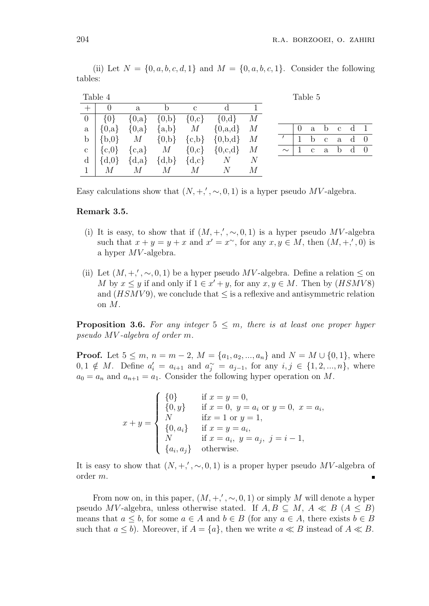0 a b c d 1  $\frac{1}{1}$  b c a d 0  $\sim$  | 1 c a b d 0

|              | Table 4                        |   |         |               |                                                 |   |  | Table 5      |
|--------------|--------------------------------|---|---------|---------------|-------------------------------------------------|---|--|--------------|
|              | $\Omega$                       | a | b       | $\mathcal{C}$ |                                                 |   |  |              |
|              | $0   \{0\}$                    |   |         |               | ${0,a}$ ${0,b}$ ${0,c}$ ${0,d}$ $M$             |   |  |              |
| a            | $\{0,a\}$                      |   |         |               | ${0, a}$ {a,b} M {0,a,d} M                      |   |  | a            |
|              |                                |   |         |               | b $\{b,0\}$ M $\{0,b\}$ $\{c,b\}$ $\{0,b,d\}$ M |   |  | <sub>b</sub> |
| $\mathbf{c}$ | $\vert \{\mathrm{c},0\} \vert$ |   |         |               | ${c, a}$ M ${0, c}$ ${0, c,d}$ M                |   |  | $\mathbf{c}$ |
|              |                                |   |         |               | d $\{d,0\}$ $\{d,a\}$ $\{d,b\}$ $\{d,c\}$ N N   |   |  |              |
|              |                                |   | $M_{-}$ | $M_{\odot}$   | N                                               | M |  |              |

(ii) Let  $N = \{0, a, b, c, d, 1\}$  and  $M = \{0, a, b, c, 1\}$ . Consider the following tables:

Easy calculations show that  $(N, +, ', \sim, 0, 1)$  is a hyper pseudo MV-algebra.

#### Remark 3.5.

- (i) It is easy, to show that if  $(M, +, ', \sim, 0, 1)$  is a hyper pseudo MV-algebra such that  $x + y = y + x$  and  $x' = x^{\sim}$ , for any  $x, y \in M$ , then  $(M, +, ', 0)$  is a hyper MV -algebra.
- (ii) Let  $(M, +, ', \sim, 0, 1)$  be a hyper pseudo MV-algebra. Define a relation  $\leq$  on M by  $x \leq y$  if and only if  $1 \in x' + y$ , for any  $x, y \in M$ . Then by  $(HSMV8)$ and  $(HSMV9)$ , we conclude that  $\leq$  is a reflexive and antisymmetric relation on M.

**Proposition 3.6.** For any integer  $5 \leq m$ , there is at least one proper hyper pseudo MV -algebra of order m.

**Proof.** Let  $5 \le m$ ,  $n = m - 2$ ,  $M = \{a_1, a_2, ..., a_n\}$  and  $N = M \cup \{0, 1\}$ , where  $0, 1 \notin M$ . Define  $a'_i = a_{i+1}$  and  $a_j^{\sim} = a_{j-1}$ , for any  $i, j \in \{1, 2, ..., n\}$ , where  $a_0 = a_n$  and  $a_{n+1} = a_1$ . Consider the following hyper operation on M.

$$
x + y = \begin{cases} \{0\} & \text{if } x = y = 0, \\ \{0, y\} & \text{if } x = 0, y = a_i \text{ or } y = 0, x = a_i, \\ N & \text{if } x = 1 \text{ or } y = 1, \\ \{0, a_i\} & \text{if } x = y = a_i, \\ N & \text{if } x = a_i, y = a_j, j = i - 1, \\ \{a_i, a_j\} & \text{otherwise.} \end{cases}
$$

It is easy to show that  $(N, +, ', \sim, 0, 1)$  is a proper hyper pseudo MV-algebra of order m.

From now on, in this paper,  $(M, +, ', \sim, 0, 1)$  or simply M will denote a hyper pseudo MV-algebra, unless otherwise stated. If  $A, B \subseteq M, A \ll B$  ( $A \leq B$ ) means that  $a \leq b$ , for some  $a \in A$  and  $b \in B$  (for any  $a \in A$ , there exists  $b \in B$ such that  $a \leq b$ ). Moreover, if  $A = \{a\}$ , then we write  $a \ll B$  instead of  $A \ll B$ .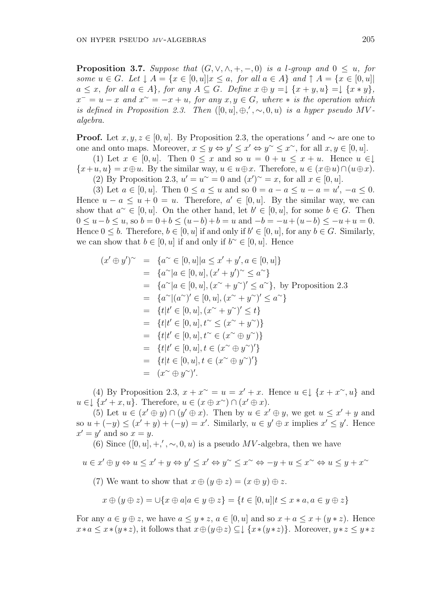**Proposition 3.7.** Suppose that  $(G, \vee, \wedge, +, -, 0)$  is a l-group and  $0 \leq u$ , for some  $u \in G$ . Let  $\downarrow A = \{x \in [0, u] | x \le a$ , for all  $a \in A\}$  and  $\uparrow A = \{x \in [0, u] | x \le a\}$  $a \leq x$ , for all  $a \in A$ , for any  $A \subseteq G$ . Define  $x \oplus y = \downarrow \{x + y, u\} = \downarrow \{x * y\}$ ,  $x^{-} = u - x$  and  $x^{\sim} = -x + u$ , for any  $x, y \in G$ , where  $*$  is the operation which is defined in Proposition 2.3. Then  $([0, u], \oplus, ', \sim, 0, u)$  is a hyper pseudo MValgebra.

**Proof.** Let  $x, y, z \in [0, u]$ . By Proposition 2.3, the operations  $\prime$  and  $\sim$  are one to one and onto maps. Moreover,  $x \leq y \Leftrightarrow y' \leq x' \Leftrightarrow y^{\sim} \leq x^{\sim}$ , for all  $x, y \in [0, u]$ .

(1) Let  $x \in [0, u]$ . Then  $0 \le x$  and so  $u = 0 + u \le x + u$ . Hence  $u \in \downarrow$  $\{x+u, u\} = x \oplus u$ . By the similar way,  $u \in u \oplus x$ . Therefore,  $u \in (x \oplus u) \cap (u \oplus x)$ .

(2) By Proposition 2.3,  $u' = u^{\sim} = 0$  and  $(x')^{\sim} = x$ , for all  $x \in [0, u]$ .

(3) Let  $a \in [0, u]$ . Then  $0 \le a \le u$  and so  $0 = a - a \le u - a = u'$ ,  $-a \le 0$ . Hence  $u - a \leq u + 0 = u$ . Therefore,  $a' \in [0, u]$ . By the similar way, we can show that  $a^{\sim} \in [0, u]$ . On the other hand, let  $b' \in [0, u]$ , for some  $b \in G$ . Then  $0 \le u - b \le u$ , so  $b = 0 + b \le (u - b) + b = u$  and  $-b = -u + (u - b) \le -u + u = 0$ . Hence  $0 \leq b$ . Therefore,  $b \in [0, u]$  if and only if  $b' \in [0, u]$ , for any  $b \in G$ . Similarly, we can show that  $b \in [0, u]$  if and only if  $b^{\sim} \in [0, u]$ . Hence

$$
(x' \oplus y')^{\sim} = \{a^{\sim} \in [0, u]| a \leq x' + y', a \in [0, u]\}
$$
  
\n
$$
= \{a^{\sim}| a \in [0, u], (x' + y')^{\sim} \leq a^{\sim}\}
$$
  
\n
$$
= \{a^{\sim}| a \in [0, u], (x^{\sim} + y^{\sim})' \leq a^{\sim}\}, \text{ by Proposition 2.3}
$$
  
\n
$$
= \{a^{\sim}| (a^{\sim})' \in [0, u], (x^{\sim} + y^{\sim})' \leq a^{\sim}\}
$$
  
\n
$$
= \{t|t' \in [0, u], t^{\sim} \leq (x^{\sim} + y^{\sim})\}
$$
  
\n
$$
= \{t|t' \in [0, u], t^{\sim} \in (x^{\sim} \oplus y^{\sim})\}
$$
  
\n
$$
= \{t|t' \in [0, u], t \in (x^{\sim} \oplus y^{\sim})'\}
$$
  
\n
$$
= \{t|t \in [0, u], t \in (x^{\sim} \oplus y^{\sim})'\}
$$
  
\n
$$
= (x^{\sim} \oplus y^{\sim})'.
$$

(4) By Proposition 2.3,  $x + x^{\sim} = u = x' + x$ . Hence  $u \in \{x + x^{\sim}, u\}$  and  $u \in \left[ \{x' + x, u\} \right]$ . Therefore,  $u \in (x \oplus x^{\sim}) \cap (x' \oplus x)$ .

(5) Let  $u \in (x' \oplus y) \cap (y' \oplus x)$ . Then by  $u \in x' \oplus y$ , we get  $u \leq x' + y$  and so  $u + (-y) \le (x' + y) + (-y) = x'$ . Similarly,  $u \in y' \oplus x$  implies  $x' \le y'$ . Hence  $x' = y'$  and so  $x = y$ .

(6) Since  $([0, u], +, ', \sim, 0, u)$  is a pseudo MV-algebra, then we have

 $u \in x' \oplus y \Leftrightarrow u \leq x' + y \Leftrightarrow y' \leq x' \Leftrightarrow y^{\sim} \leq x^{\sim} \Leftrightarrow -y + u \leq x^{\sim} \Leftrightarrow u \leq y + x^{\sim}$ 

(7) We want to show that  $x \oplus (y \oplus z) = (x \oplus y) \oplus z$ .

$$
x \oplus (y \oplus z) = \bigcup \{ x \oplus a | a \in y \oplus z \} = \{ t \in [0, u] | t \le x * a, a \in y \oplus z \}
$$

For any  $a \in y \oplus z$ , we have  $a \leq y * z$ ,  $a \in [0, u]$  and so  $x + a \leq x + (y * z)$ . Hence  $x*a \leq x*(y*z)$ , it follows that  $x\oplus (y\oplus z) \subseteq \downarrow \{x*(y*z)\}\.$  Moreover,  $y*z\leq y*z$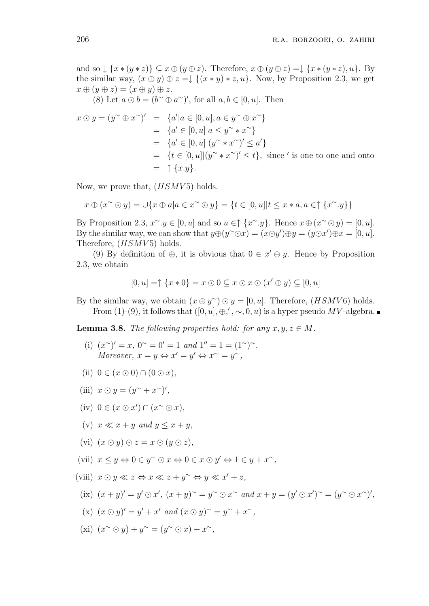and so  $\downarrow \{x * (y * z)\} \subseteq x \oplus (y \oplus z)$ . Therefore,  $x \oplus (y \oplus z) = \downarrow \{x * (y * z), u\}$ . By the similar way,  $(x \oplus y) \oplus z = \downarrow \{(x * y) * z, u\}$ . Now, by Proposition 2.3, we get  $x \oplus (y \oplus z) = (x \oplus y) \oplus z.$ 

(8) Let  $a \odot b = (b^{\sim} \oplus a^{\sim})'$ , for all  $a, b \in [0, u]$ . Then

$$
x \odot y = (y^{\sim} \oplus x^{\sim})' = \{a'|a \in [0, u], a \in y^{\sim} \oplus x^{\sim}\}\
$$
  
\n
$$
= \{a' \in [0, u]|a \leq y^{\sim} * x^{\sim}\}\
$$
  
\n
$$
= \{a' \in [0, u]|(y^{\sim} * x^{\sim})' \leq a'\}\
$$
  
\n
$$
= \{t \in [0, u]|(y^{\sim} * x^{\sim})' \leq t\}, \text{ since ' is one to one and onto}\
$$
  
\n
$$
= \uparrow \{x \cdot y\}.
$$

Now, we prove that,  $(HSMV5)$  holds.

$$
x \oplus (x \sim \odot y) = \cup \{x \oplus a | a \in x \sim \odot y\} = \{t \in [0, u] | t \leq x * a, a \in \uparrow \{x \sim y\}\}
$$

By Proposition 2.3,  $x^{\sim} y \in [0, u]$  and so  $u \in \uparrow \{x^{\sim} y\}$ . Hence  $x \oplus (x^{\sim} \odot y) = [0, u]$ . By the similar way, we can show that  $y \oplus (y \circ \circ x) = (x \odot y') \oplus y = (y \odot x') \oplus x = [0, u]$ . Therefore,  $(HSMV5)$  holds.

(9) By definition of  $\oplus$ , it is obvious that  $0 \in x' \oplus y$ . Hence by Proposition 2.3, we obtain

$$
[0, u] = \uparrow \{x * 0\} = x \odot 0 \subseteq x \odot x \odot (x' \oplus y) \subseteq [0, u]
$$

By the similar way, we obtain  $(x \oplus y^{\sim}) \odot y = [0, u]$ . Therefore,  $(HSMV6)$  holds. From (1)-(9), it follows that  $([0, u], \oplus, ', \sim, 0, u)$  is a hyper pseudo MV-algebra.

**Lemma 3.8.** The following properties hold: for any  $x, y, z \in M$ .

- (i)  $(x^{\sim})' = x$ ,  $0^{\sim} = 0' = 1$  and  $1'' = 1 = (1^{\sim})^{\sim}$ . Moreover,  $x = y \Leftrightarrow x' = y' \Leftrightarrow x^{\sim} = y^{\sim}$ ,
- (ii)  $0 \in (x \odot 0) \cap (0 \odot x),$
- (iii)  $x \odot y = (y^{\sim} + x^{\sim})'$ ,
- (iv)  $0 \in (x \odot x') \cap (x \odot x)$ ,
- (v)  $x \ll x + y$  and  $y \leq x + y$ ,
- (vi)  $(x \odot y) \odot z = x \odot (y \odot z),$
- (vii)  $x \leq y \Leftrightarrow 0 \in y^{\sim} \odot x \Leftrightarrow 0 \in x \odot y' \Leftrightarrow 1 \in y + x^{\sim}$ ,
- (viii)  $x \odot y \ll z \Leftrightarrow x \ll z + y^{\sim} \Leftrightarrow y \ll x' + z$ ,
- (ix)  $(x + y)' = y' \odot x', (x + y)^{\sim} = y^{\sim} \odot x^{\sim}$  and  $x + y = (y' \odot x')^{\sim} = (y^{\sim} \odot x^{\sim})',$
- (x)  $(x \odot y)' = y' + x'$  and  $(x \odot y)$ <sup>~</sup> =  $y$ <sup>~</sup> +  $x$ <sup>~</sup>,
- (xi)  $(x^{\sim} \odot y) + y^{\sim} = (y^{\sim} \odot x) + x^{\sim}$ ,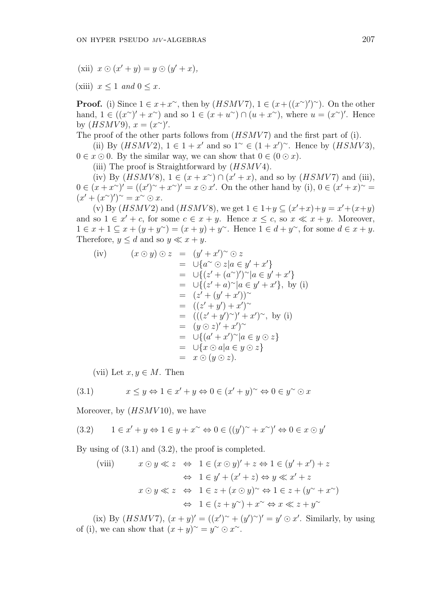(xii)  $x \odot (x'+y) = y \odot (y'+x)$ ,

(xiii)  $x \leq 1$  and  $0 \leq x$ .

**Proof.** (i) Since  $1 \in x + x^{\sim}$ , then by  $(HSMV7)$ ,  $1 \in (x + ((x^{\sim})')^{\sim})$ . On the other hand,  $1 \in ((x^{\sim})' + x^{\sim})$  and so  $1 \in (x + u^{\sim}) \cap (u + x^{\sim})$ , where  $u = (x^{\sim})'$ . Hence by  $(HSMV9), x = (x^{\sim})^{\prime}.$ 

The proof of the other parts follows from  $(HSMV7)$  and the first part of (i).

(ii) By  $(HSMV2)$ ,  $1 \in 1 + x'$  and so  $1^{\sim} \in (1 + x')^{\sim}$ . Hence by  $(HSMV3)$ ,  $0 \in x \odot 0$ . By the similar way, we can show that  $0 \in (0 \odot x)$ .

(iii) The proof is Straightforward by  $(HSMV4)$ .

(iv) By  $(HSMV8)$ ,  $1 \in (x + x^{\sim}) \cap (x' + x)$ , and so by  $(HSMV7)$  and (iii),  $0 \in (x + x^{\sim})' = ((x')^{\sim} + x^{\sim})' = x \odot x'$ . On the other hand by (i),  $0 \in (x' + x)^{\sim} =$  $(x' + (x^{\sim})')^{\sim} = x^{\sim} \odot x.$ 

(v) By  $(HSMV2)$  and  $(HSMV8)$ , we get  $1 \in 1+y \subseteq (x'+x)+y=x'+(x+y)$ and so  $1 \in x' + c$ , for some  $c \in x + y$ . Hence  $x \leq c$ , so  $x \ll x + y$ . Moreover,  $1 \in x + 1 \subseteq x + (y + y^{\sim}) = (x + y) + y^{\sim}$ . Hence  $1 \in d + y^{\sim}$ , for some  $d \in x + y$ . Therefore,  $y \leq d$  and so  $y \ll x + y$ .

(iv) 
$$
(x \odot y) \odot z = (y' + x')^{\sim} \odot z
$$
  
\t $= \cup \{a^{\sim} \odot z | a \in y' + x'\}$   
\t $= \cup \{(z' + (a^{\sim})')^{\sim} | a \in y' + x'\}$   
\t $= \cup \{(z' + a)^{\sim} | a \in y' + x'\}, \text{ by (i)}$   
\t $= (z' + (y' + x'))^{\sim}$   
\t $= ((z' + y') + x')^{\sim}$   
\t $= ((z' + y')^{\sim})' + x')^{\sim}$ , by (i)  
\t $= (y \odot z)' + x')^{\sim}$   
\t $= \cup \{(a' + x')^{\sim} | a \in y \odot z\}$   
\t $= x \odot (y \odot z).$ 

(vii) Let  $x, y \in M$ . Then

$$
(3.1) \quad x \le y \Leftrightarrow 1 \in x' + y \Leftrightarrow 0 \in (x' + y)^\sim \Leftrightarrow 0 \in y^\sim \odot x
$$

Moreover, by  $(HSMV10)$ , we have

$$
(3.2) \qquad 1 \in x' + y \Leftrightarrow 1 \in y + x^{\sim} \Leftrightarrow 0 \in ((y')^{\sim} + x^{\sim})' \Leftrightarrow 0 \in x \odot y'
$$

By using of (3.1) and (3.2), the proof is completed.

(viii) 
$$
x \odot y \ll z \Leftrightarrow 1 \in (x \odot y)' + z \Leftrightarrow 1 \in (y' + x') + z
$$
  
\n $\Leftrightarrow 1 \in y' + (x' + z) \Leftrightarrow y \ll x' + z$   
\n $x \odot y \ll z \Leftrightarrow 1 \in z + (x \odot y)^{\sim} \Leftrightarrow 1 \in z + (y^{\sim} + x^{\sim})$   
\n $\Leftrightarrow 1 \in (z + y^{\sim}) + x^{\sim} \Leftrightarrow x \ll z + y^{\sim}$ 

(ix) By  $(HSMV7)$ ,  $(x + y)' = ((x')^{\sim} + (y')^{\sim})' = y' \odot x'$ . Similarly, by using of (i), we can show that  $(x + y)^{\sim} = y^{\sim} \odot x^{\sim}$ .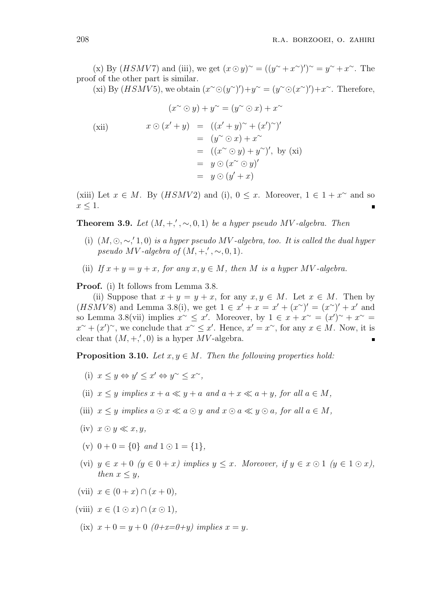(x) By (*HSMV7*) and (iii), we get  $(x \odot y)^{\sim} = ((y^{\sim} + x^{\sim})')^{\sim} = y^{\sim} + x^{\sim}$ . The proof of the other part is similar.

(xi) By  $(HSMV5)$ , we obtain  $(x^{\sim} \odot (y^{\sim})') + y^{\sim} = (y^{\sim} \odot (x^{\sim})') + x^{\sim}$ . Therefore,

$$
(x^{\sim} \odot y) + y^{\sim} = (y^{\sim} \odot x) + x^{\sim}
$$
  
\n(xii)  
\n
$$
x \odot (x' + y) = ((x' + y)^{\sim} + (x')^{\sim})'
$$
  
\n
$$
= (y^{\sim} \odot x) + x^{\sim}
$$
  
\n
$$
= ((x^{\sim} \odot y) + y^{\sim})', \text{ by (xi)}
$$
  
\n
$$
= y \odot (x^{\sim} \odot y)'
$$
  
\n
$$
= y \odot (y' + x)
$$

(xiii) Let  $x \in M$ . By  $(HSMV2)$  and (i),  $0 \leq x$ . Moreover,  $1 \in 1 + x^{\sim}$  and so  $x\leq 1.$ 

**Theorem 3.9.** Let  $(M, +, ', \sim, 0, 1)$  be a hyper pseudo MV-algebra. Then

- (i)  $(M, \odot, \sim, '1, 0)$  is a hyper pseudo MV-algebra, too. It is called the dual hyper pseudo MV-algebra of  $(M, +, ', \sim, 0, 1)$ .
- (ii) If  $x + y = y + x$ , for any  $x, y \in M$ , then M is a hyper MV-algebra.

Proof. (i) It follows from Lemma 3.8.

(ii) Suppose that  $x + y = y + x$ , for any  $x, y \in M$ . Let  $x \in M$ . Then by (HSMV8) and Lemma 3.8(i), we get  $1 \in x' + x = x' + (x'')' = (x'')' + x'$  and so Lemma 3.8(vii) implies  $x^{\sim} \leq x'$ . Moreover, by  $1 \in x + x^{\sim} = (x')^{\sim} + x^{\sim} =$  $x^{\sim} + (x')^{\sim}$ , we conclude that  $x^{\sim} \leq x'$ . Hence,  $x' = x^{\sim}$ , for any  $x \in M$ . Now, it is clear that  $(M, +, ', 0)$  is a hyper MV-algebra.

**Proposition 3.10.** Let  $x, y \in M$ . Then the following properties hold:

- (i)  $x \leq y \Leftrightarrow y' \leq x' \Leftrightarrow y^{\sim} \leq x^{\sim}$ ,
- (ii)  $x \leq y$  implies  $x + a \ll y + a$  and  $a + x \ll a + y$ , for all  $a \in M$ ,
- (iii)  $x \leq y$  implies  $a \odot x \ll a \odot y$  and  $x \odot a \ll y \odot a$ , for all  $a \in M$ ,
- $(iv)$   $x \odot y \ll x, y$ ,
- (v)  $0 + 0 = \{0\}$  and  $1 \odot 1 = \{1\}$ ,
- (vi)  $y \in x + 0$   $(y \in 0 + x)$  implies  $y \leq x$ . Moreover, if  $y \in x \odot 1$   $(y \in 1 \odot x)$ , then  $x \leq y$ ,
- (vii)  $x \in (0 + x) \cap (x + 0)$ ,
- (viii)  $x \in (1 \odot x) \cap (x \odot 1)$ ,
	- (ix)  $x + 0 = y + 0$  ( $0+x=0+y$ ) implies  $x = y$ .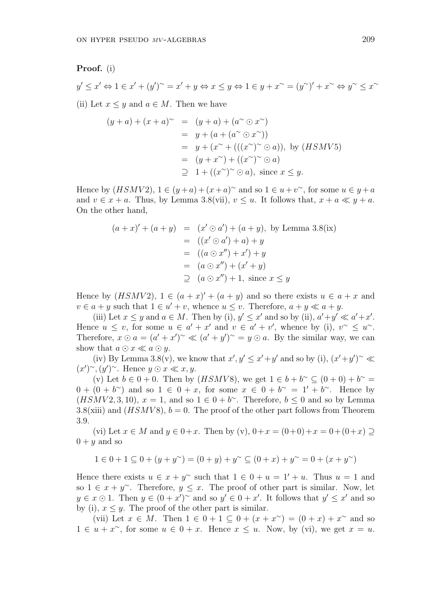#### Proof. (i)

$$
y' \le x' \Leftrightarrow 1 \in x' + (y')^{\sim} = x' + y \Leftrightarrow x \le y \Leftrightarrow 1 \in y + x^{\sim} = (y^{\sim})' + x^{\sim} \Leftrightarrow y^{\sim} \le x^{\sim}
$$

(ii) Let  $x \leq y$  and  $a \in M$ . Then we have

$$
(y+a) + (x+a)^{\sim} = (y+a) + (a^{\sim} \odot x^{\sim})
$$
  
=  $y + (a + (a^{\sim} \odot x^{\sim}))$   
=  $y + (x^{\sim} + (((x^{\sim})^{\sim} \odot a))$ , by *(HSMV5)*  
=  $(y + x^{\sim}) + ((x^{\sim})^{\sim} \odot a)$   
 $\supseteq 1 + ((x^{\sim})^{\sim} \odot a)$ , since  $x \leq y$ .

Hence by  $(HSMV2)$ ,  $1 \in (y+a)+(x+a)^{\sim}$  and so  $1 \in u+v^{\sim}$ , for some  $u \in y+a$ and  $v \in x + a$ . Thus, by Lemma 3.8(vii),  $v \leq u$ . It follows that,  $x + a \ll y + a$ . On the other hand,

$$
(a+x)' + (a+y) = (x' \odot a') + (a+y), \text{ by Lemma 3.8(ix)}
$$
  
= ((x' \odot a') + a) + y  
= ((a \odot x'') + x') + y  
= (a \odot x'') + (x'+y)  

$$
\supseteq (a \odot x'') + 1, \text{ since } x \le y
$$

Hence by  $(HSMV2)$ ,  $1 \in (a+x)' + (a+y)$  and so there exists  $u \in a+x$  and  $v \in a + y$  such that  $1 \in u' + v$ , whence  $u \leq v$ . Therefore,  $a + y \ll a + y$ .

(iii) Let  $x \leq y$  and  $a \in M$ . Then by (i),  $y' \leq x'$  and so by (ii),  $a'+y' \ll a'+x'$ . Hence  $u \leq v$ , for some  $u \in a' + x'$  and  $v \in a' + v'$ , whence by (i),  $v \sim u$ . Therefore,  $x \odot a = (a' + x')^{\sim} \ll (a' + y')^{\sim} = y \odot a$ . By the similar way, we can show that  $a \odot x \ll a \odot y$ .

(iv) By Lemma 3.8(v), we know that  $x', y' \leq x' + y'$  and so by (i),  $(x'+y')^{\sim} \ll$  $(x')^{\sim}$ ,  $(y')^{\sim}$ . Hence  $y \odot x \ll x, y$ .

(v) Let  $b \in 0+0$ . Then by  $(HSMV8)$ , we get  $1 \in b+b^{\sim} \subseteq (0+0)+b^{\sim} =$  $0 + (0 + b^{\sim})$  and so  $1 \in 0 + x$ , for some  $x \in 0 + b^{\sim} = 1' + b^{\sim}$ . Hence by  $(HSMV2, 3, 10), x = 1$ , and so  $1 \in 0 + b^{\sim}$ . Therefore,  $b \le 0$  and so by Lemma 3.8(xiii) and  $(HSMV8)$ ,  $b = 0$ . The proof of the other part follows from Theorem 3.9.

(vi) Let  $x \in M$  and  $y \in 0+x$ . Then by (v),  $0+x = (0+0)+x = 0+(0+x) \supset$  $0 + y$  and so

$$
1\in 0+1\subseteq 0+(y+y^{\sim})=(0+y)+y^{\sim}\subseteq (0+x)+y^{\sim}=0+(x+y^{\sim})
$$

Hence there exists  $u \in x + y^{\sim}$  such that  $1 \in 0 + u = 1' + u$ . Thus  $u = 1$  and so  $1 \in x + y^{\sim}$ . Therefore,  $y \leq x$ . The proof of other part is similar. Now, let  $y \in x \odot 1$ . Then  $y \in (0 + x')^{\sim}$  and so  $y' \in 0 + x'$ . It follows that  $y' \leq x'$  and so by (i),  $x \leq y$ . The proof of the other part is similar.

(vii) Let  $x \in M$ . Then  $1 \in 0 + 1 \subseteq 0 + (x + x^{\sim}) = (0 + x) + x^{\sim}$  and so  $1 \in u + x^{\sim}$ , for some  $u \in 0 + x$ . Hence  $x \leq u$ . Now, by (vi), we get  $x = u$ .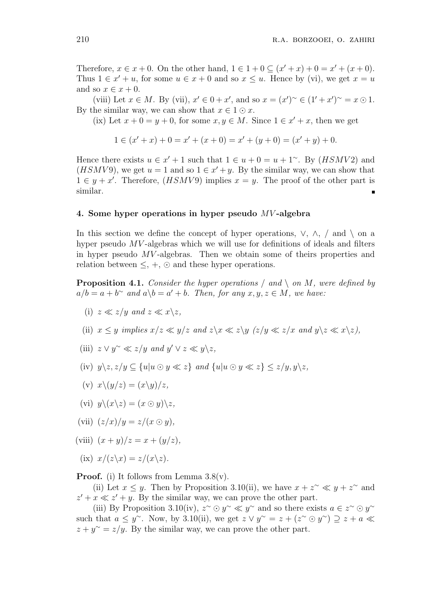Therefore,  $x \in x + 0$ . On the other hand,  $1 \in 1 + 0 \subseteq (x' + x) + 0 = x' + (x + 0)$ . Thus  $1 \in x' + u$ , for some  $u \in x + 0$  and so  $x \leq u$ . Hence by (vi), we get  $x = u$ and so  $x \in x + 0$ .

(viii) Let  $x \in M$ . By (vii),  $x' \in 0 + x'$ , and so  $x = (x')^{\sim} \in (1' + x')^{\sim} = x \odot 1$ . By the similar way, we can show that  $x \in 1 \odot x$ .

(ix) Let  $x + 0 = y + 0$ , for some  $x, y \in M$ . Since  $1 \in x' + x$ , then we get

$$
1 \in (x' + x) + 0 = x' + (x + 0) = x' + (y + 0) = (x' + y) + 0.
$$

Hence there exists  $u \in x' + 1$  such that  $1 \in u + 0 = u + 1^{\sim}$ . By  $(HSMV2)$  and (HSMV9), we get  $u = 1$  and so  $1 \in x' + y$ . By the similar way, we can show that  $1 \in y + x'$ . Therefore,  $(HSMV9)$  implies  $x = y$ . The proof of the other part is similar.

#### 4. Some hyper operations in hyper pseudo MV-algebra

In this section we define the concept of hyper operations,  $\vee$ ,  $\wedge$ ,  $\wedge$  and  $\wedge$  on a hyper pseudo MV -algebras which we will use for definitions of ideals and filters in hyper pseudo MV -algebras. Then we obtain some of theirs properties and relation between  $\leq$ ,  $+$ ,  $\odot$  and these hyper operations.

**Proposition 4.1.** Consider the hyper operations  $/$  and  $\setminus$  on M, were defined by  $a/b = a + b^{\sim}$  and  $a \backslash b = a' + b$ . Then, for any  $x, y, z \in M$ , we have:

- (i)  $z \ll z/y$  and  $z \ll x \backslash z$ ,
- (ii)  $x \leq y$  implies  $x/z \ll y/z$  and  $z \ll z \ll z/y \ll z/x$  and  $y \gg z \ll x \gg z$ ,
- (iii)  $z \vee y^{\sim} \ll z/y$  and  $y' \vee z \ll y \backslash z$ ,
- (iv)  $y\backslash z, z/y \subseteq \{u|u \odot y \ll z\}$  and  $\{u|u \odot y \ll z\} \leq z/y, y\backslash z$ ,
- (v)  $x\backslash(y/z) = (x\backslash y)/z$ ,
- (vi)  $y\setminus(x\setminus z) = (x \odot y)\setminus z$ ,
- (vii)  $(z/x)/y = z/(x \odot y),$
- (viii)  $(x + y)/z = x + (y/z)$ ,
- (ix)  $x/(z\lambda x) = z/(x\lambda z)$ .

**Proof.** (i) It follows from Lemma  $3.8(v)$ .

(ii) Let  $x \leq y$ . Then by Proposition 3.10(ii), we have  $x + z^{\sim} \ll y + z^{\sim}$  and  $z' + x \ll z' + y$ . By the similar way, we can prove the other part.

(iii) By Proposition 3.10(iv),  $z^{\sim} \odot y^{\sim} \ll y^{\sim}$  and so there exists  $a \in z^{\sim} \odot y^{\sim}$ such that  $a \leq y^{\sim}$ . Now, by 3.10(ii), we get  $z \vee y^{\sim} = z + (z^{\sim} \odot y^{\sim}) \supseteq z + a \ll z$  $z + y^{\sim} = z/y$ . By the similar way, we can prove the other part.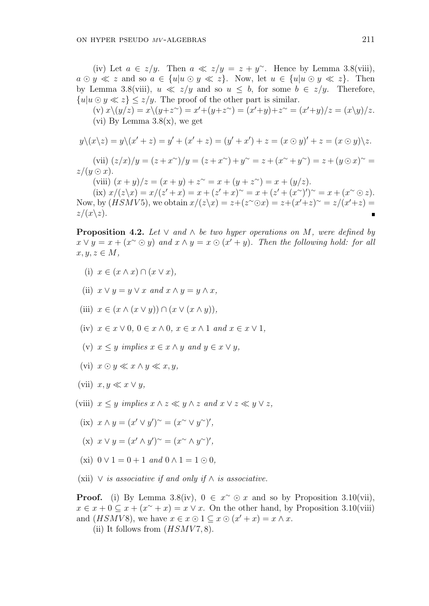(iv) Let  $a \in z/y$ . Then  $a \ll z/y = z + y^{\sim}$ . Hence by Lemma 3.8(viii),  $a \odot y \ll z$  and so  $a \in \{u | u \odot y \ll z\}$ . Now, let  $u \in \{u | u \odot y \ll z\}$ . Then by Lemma 3.8(viii),  $u \ll z/y$  and so  $u \leq b$ , for some  $b \in z/y$ . Therefore,  ${u|u \odot y \ll z} < z/y$ . The proof of the other part is similar.

 $(v) x \setminus (y/z) = x \setminus (y + z^{\sim}) = x' + (y + z^{\sim}) = (x' + y) + z^{\sim} = (x' + y)/z = (x \setminus y)/z.$ (vi) By Lemma  $3.8(x)$ , we get

$$
y\setminus(x\setminus z)=y\setminus(x'+z)=y'+(x'+z)=(y'+x')+z=(x\odot y)'+z=(x\odot y)\setminus z.
$$

(vii)  $(z/x)/y = (z+x^{\sim})/y = (z+x^{\sim})+y^{\sim} = z + (x^{\sim}+y^{\sim}) = z + (y \odot x)^{\sim} = z$  $z/(y \odot x)$ .

(viii)  $(x + y)/z = (x + y) + z^{\sim} = x + (y + z^{\sim}) = x + (y/z)$ .

(ix)  $x/(z\zeta x) = x/(z'+x) = x + (z'+x)^{2} = x + (z'+(x^{2})')^{2} = x + (x^{2} \odot z).$ Now, by  $(HSMV5)$ , we obtain  $x/(z\backslash x) = z+(z^{\sim}\odot x) = z+(x'+z)^{\sim} = z/(x'+z) = z$  $z/(x\backslash z).$ 

**Proposition 4.2.** Let  $\vee$  and  $\wedge$  be two hyper operations on M, were defined by  $x \vee y = x + (x^{\sim} \odot y)$  and  $x \wedge y = x \odot (x' + y)$ . Then the following hold: for all  $x, y, z \in M$ ,

- (i)  $x \in (x \wedge x) \cap (x \vee x),$
- (ii)  $x \vee y = y \vee x$  and  $x \wedge y = y \wedge x$ .
- (iii)  $x \in (x \wedge (x \vee y)) \cap (x \vee (x \wedge y)),$
- (iv)  $x \in x \vee 0, 0 \in x \wedge 0, x \in x \wedge 1$  and  $x \in x \vee 1$ ,
- (v)  $x \leq y$  implies  $x \in x \wedge y$  and  $y \in x \vee y$ ,
- (vi)  $x \odot y \ll x \wedge y \ll x, y$ ,
- (vii)  $x, y \ll x \lor y$ ,
- (viii)  $x \leq y$  implies  $x \wedge z \ll y \wedge z$  and  $x \vee z \ll y \vee z$ ,
	- (ix)  $x \wedge y = (x' \vee y')^{\sim} = (x^{\sim} \vee y^{\sim})',$
	- (x)  $x \lor y = (x' \land y')^{\sim} = (x^{\sim} \land y^{\sim})',$
	- (xi)  $0 \vee 1 = 0 + 1$  and  $0 \wedge 1 = 1 \odot 0$ .
- (xii)  $\vee$  *is associative if and only if*  $\wedge$  *is associative.*

**Proof.** (i) By Lemma 3.8(iv),  $0 \in x^{\sim} \odot x$  and so by Proposition 3.10(vii),  $x \in \overline{x} + 0 \subseteq \overline{x} + (\overline{x^{\sim}} + \overline{x}) = x \vee \overline{x}$ . On the other hand, by Proposition 3.10(viii) and  $(HSMV8)$ , we have  $x \in x \odot 1 \subseteq x \odot (x'+x) = x \wedge x$ .

(ii) It follows from  $(HSMV7, 8)$ .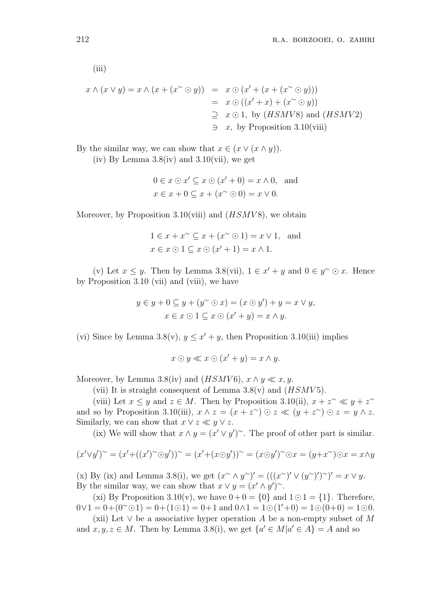(iii)

$$
x \wedge (x \vee y) = x \wedge (x + (x^{\sim} \odot y)) = x \odot (x' + (x + (x^{\sim} \odot y)))
$$
  
=  $x \odot ((x' + x) + (x^{\sim} \odot y))$   
 $\supseteq x \odot 1$ , by (HSMV8) and (HSMV2)  
 $\supseteq x$ , by Proposition 3.10(viii)

By the similar way, we can show that  $x \in (x \vee (x \wedge y))$ .

(iv) By Lemma  $3.8$ (iv) and  $3.10$ (vii), we get

$$
0 \in x \odot x' \subseteq x \odot (x' + 0) = x \wedge 0, \text{ and}
$$
  

$$
x \in x + 0 \subseteq x + (x^{\sim} \odot 0) = x \vee 0.
$$

Moreover, by Proposition 3.10(viii) and  $(HSMV8)$ , we obtain

$$
1 \in x + x^{\sim} \subseteq x + (x^{\sim} \odot 1) = x \vee 1, \text{ and}
$$
  

$$
x \in x \odot 1 \subseteq x \odot (x' + 1) = x \wedge 1.
$$

(v) Let  $x \leq y$ . Then by Lemma 3.8(vii),  $1 \in x' + y$  and  $0 \in y^{\sim} \odot x$ . Hence by Proposition 3.10 (vii) and (viii), we have

$$
y \in y + 0 \subseteq y + (y^{\sim} \odot x) = (x \odot y') + y = x \vee y,
$$

$$
x \in x \odot 1 \subseteq x \odot (x' + y) = x \wedge y.
$$

(vi) Since by Lemma 3.8(v),  $y \leq x' + y$ , then Proposition 3.10(iii) implies

$$
x \odot y \ll x \odot (x' + y) = x \land y.
$$

Moreover, by Lemma 3.8(iv) and  $(HSMV6)$ ,  $x \wedge y \ll x, y$ .

(vii) It is straight consequent of Lemma  $3.8(v)$  and  $(HSMV5)$ .

(viii) Let  $x \leq y$  and  $z \in M$ . Then by Proposition 3.10(ii),  $x + z^{\sim} \ll y + z^{\sim}$ and so by Proposition 3.10(iii),  $x \wedge z = (x + z^{\sim}) \odot z \ll (y + z^{\sim}) \odot z = y \wedge z$ . Similarly, we can show that  $x \vee z \ll y \vee z$ .

(ix) We will show that  $x \wedge y = (x' \vee y')^{\sim}$ . The proof of other part is similar.

$$
(x'\vee y')^{\sim} = (x' + ((x')^{\sim} \odot y'))^{\sim} = (x' + (x \odot y'))^{\sim} = (x \odot y')^{\sim} \odot x = (y + x^{\sim}) \odot x = x \wedge y
$$

(x) By (ix) and Lemma 3.8(i), we get  $(x^{\sim} \wedge y^{\sim})' = (((x^{\sim})' \vee (y^{\sim})')^{\sim})' = x \vee y$ . By the similar way, we can show that  $x \vee y = (x' \wedge y')^{\sim}$ .

(xi) By Proposition 3.10(v), we have  $0+0 = \{0\}$  and  $1 \odot 1 = \{1\}$ . Therefore,  $0 \vee 1 = 0 + (0 \circ 0) = 0 + (1 \circ 1) = 0 + 1$  and  $0 \wedge 1 = 1 \circ (1' + 0) = 1 \circ (0 + 0) = 1 \circ 0$ .

(xii) Let  $\vee$  be a associative hyper operation A be a non-empty subset of M and  $x, y, z \in M$ . Then by Lemma 3.8(i), we get  $\{a' \in M | a' \in A\} = A$  and so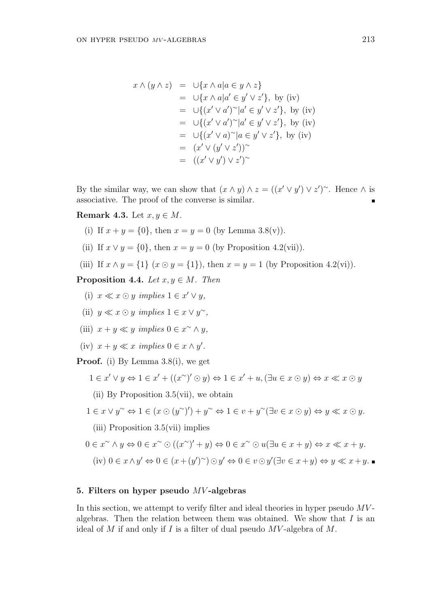$$
x \wedge (y \wedge z) = \cup \{x \wedge a | a \in y \wedge z\}
$$
  
\n
$$
= \cup \{x \wedge a | a' \in y' \vee z'\}, \text{ by (iv)}
$$
  
\n
$$
= \cup \{(x' \vee a')^{\sim} | a' \in y' \vee z'\}, \text{ by (iv)}
$$
  
\n
$$
= \cup \{(x' \vee a')^{\sim} | a' \in y' \vee z'\}, \text{ by (iv)}
$$
  
\n
$$
= \cup \{(x' \vee a)^{\sim} | a \in y' \vee z'\}, \text{ by (iv)}
$$
  
\n
$$
= (x' \vee (y' \vee z'))^{\sim}
$$
  
\n
$$
= ((x' \vee y') \vee z')^{\sim}
$$

By the similar way, we can show that  $(x \wedge y) \wedge z = ((x' \vee y') \vee z')^{\sim}$ . Hence  $\wedge$  is associative. The proof of the converse is similar.

**Remark 4.3.** Let  $x, y \in M$ .

- (i) If  $x + y = \{0\}$ , then  $x = y = 0$  (by Lemma 3.8(v)).
- (ii) If  $x \vee y = \{0\}$ , then  $x = y = 0$  (by Proposition 4.2(vii)).

(iii) If 
$$
x \wedge y = \{1\} (x \odot y = \{1\})
$$
, then  $x = y = 1$  (by Proposition 4.2(vi)).

**Proposition 4.4.** Let  $x, y \in M$ . Then

- (i)  $x \ll x \odot y$  implies  $1 \in x' \vee y$ ,
- (ii)  $y \ll x \odot y$  implies  $1 \in x \vee y^{\sim}$ ,
- (iii)  $x + y \ll y$  implies  $0 \in x^{\sim} \wedge y$ ,
- (iv)  $x + y \ll x$  implies  $0 \in x \wedge y'$ .

Proof. (i) By Lemma 3.8(i), we get

$$
1 \in x' \lor y \Leftrightarrow 1 \in x' + ((x \land)' \odot y) \Leftrightarrow 1 \in x' + u, (\exists u \in x \odot y) \Leftrightarrow x \ll x \odot y
$$

(ii) By Proposition 3.5(vii), we obtain

$$
1 \in x \lor y^{\sim} \Leftrightarrow 1 \in (x \odot (y^{\sim})') + y^{\sim} \Leftrightarrow 1 \in v + y^{\sim} (\exists v \in x \odot y) \Leftrightarrow y \ll x \odot y.
$$

(iii) Proposition 3.5(vii) implies

$$
0 \in x^{\sim} \land y \Leftrightarrow 0 \in x^{\sim} \odot ((x^{\sim})' + y) \Leftrightarrow 0 \in x^{\sim} \odot u(\exists u \in x + y) \Leftrightarrow x \ll x + y.
$$
  
(iv)  $0 \in x \land y' \Leftrightarrow 0 \in (x + (y')^{\sim}) \odot y' \Leftrightarrow 0 \in v \odot y'(\exists v \in x + y) \Leftrightarrow y \ll x + y.$ 

### 5. Filters on hyper pseudo MV -algebras

In this section, we attempt to verify filter and ideal theories in hyper pseudo  $MV$ algebras. Then the relation between them was obtained. We show that  $I$  is an ideal of  $M$  if and only if  $I$  is a filter of dual pseudo  $MV$ -algebra of  $M$ .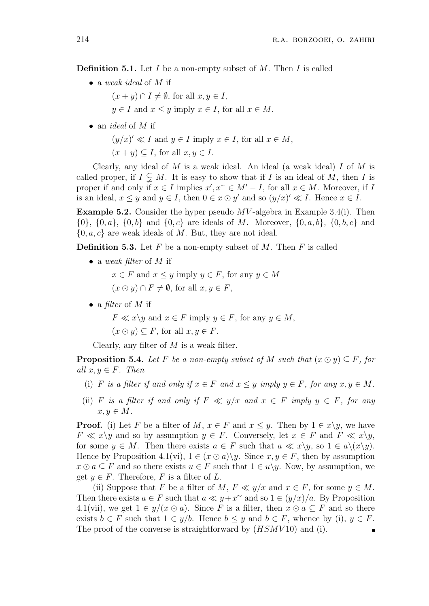**Definition 5.1.** Let I be a non-empty subset of M. Then I is called

• a weak ideal of M if

 $(x + y) \cap I \neq \emptyset$ , for all  $x, y \in I$ ,

 $y \in I$  and  $x \leq y$  imply  $x \in I$ , for all  $x \in M$ .

• an *ideal* of  $M$  if

 $(y/x)' \ll I$  and  $y \in I$  imply  $x \in I$ , for all  $x \in M$ ,

 $(x + y) \subset I$ , for all  $x, y \in I$ .

Clearly, any ideal of  $M$  is a weak ideal. An ideal (a weak ideal)  $I$  of  $M$  is called proper, if  $I \subsetneq M$ . It is easy to show that if I is an ideal of M, then I is proper if and only if  $x \in I$  implies  $x', x^{\sim} \in M'-I$ , for all  $x \in M$ . Moreover, if I is an ideal,  $x \leq y$  and  $y \in I$ , then  $0 \in x \odot y'$  and so  $(y/x)' \ll I$ . Hence  $x \in I$ .

**Example 5.2.** Consider the hyper pseudo  $MV$ -algebra in Example 3.4(i). Then  $\{0\}, \{0, a\}, \{0, b\}$  and  $\{0, c\}$  are ideals of M. Moreover,  $\{0, a, b\}, \{0, b, c\}$  and  $\{0, a, c\}$  are weak ideals of M. But, they are not ideal.

**Definition 5.3.** Let  $F$  be a non-empty subset of  $M$ . Then  $F$  is called

• a weak filter of  $M$  if

 $x \in F$  and  $x \leq y$  imply  $y \in F$ , for any  $y \in M$  $(x \odot y) \cap F \neq \emptyset$ , for all  $x, y \in F$ ,

• a filter of  $M$  if

 $F \ll x \lor y$  and  $x \in F$  imply  $y \in F$ , for any  $y \in M$ ,

 $(x \odot y) \subseteq F$ , for all  $x, y \in F$ .

Clearly, any filter of  $M$  is a weak filter.

**Proposition 5.4.** Let F be a non-empty subset of M such that  $(x \odot y) \subseteq F$ , for all  $x, y \in F$ . Then

- (i) F is a filter if and only if  $x \in F$  and  $x \leq y$  imply  $y \in F$ , for any  $x, y \in M$ .
- (ii) F is a filter if and only if  $F \ll y/x$  and  $x \in F$  imply  $y \in F$ , for any  $x, y \in M$ .

**Proof.** (i) Let F be a filter of M,  $x \in F$  and  $x \leq y$ . Then by  $1 \in x \setminus y$ , we have  $F \ll x \lor y$  and so by assumption  $y \in F$ . Conversely, let  $x \in F$  and  $F \ll x \lor y$ , for some  $y \in M$ . Then there exists  $a \in F$  such that  $a \ll x \lor y$ , so  $1 \in a \lor (x \lor y)$ . Hence by Proposition 4.1(vi),  $1 \in (x \odot a) \setminus y$ . Since  $x, y \in F$ , then by assumption  $x \odot a \subseteq F$  and so there exists  $u \in F$  such that  $1 \in u \backslash y$ . Now, by assumption, we get  $y \in F$ . Therefore, F is a filter of L.

(ii) Suppose that F be a filter of M,  $F \ll y/x$  and  $x \in F$ , for some  $y \in M$ . Then there exists  $a \in F$  such that  $a \ll y + x^{\sim}$  and so  $1 \in (y/x)/a$ . By Proposition 4.1(vii), we get  $1 \in y/(x \odot a)$ . Since F is a filter, then  $x \odot a \subseteq F$  and so there exists  $b \in F$  such that  $1 \in y/b$ . Hence  $b \leq y$  and  $b \in F$ , whence by (i),  $y \in F$ . The proof of the converse is straightforward by  $(HSMV10)$  and (i).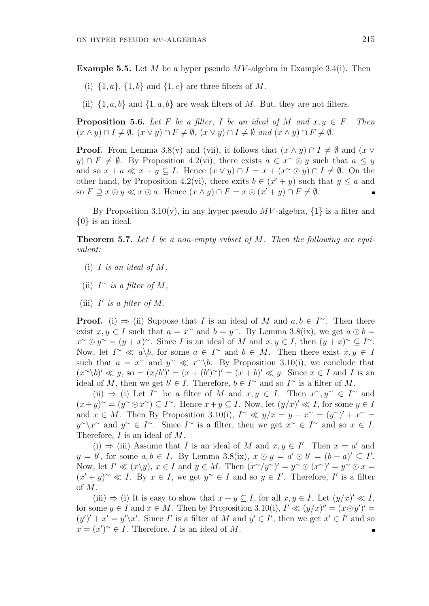**Example 5.5.** Let M be a hyper pseudo MV-algebra in Example 3.4(i). Then

- (i)  $\{1, a\}$ ,  $\{1, b\}$  and  $\{1, c\}$  are three filters of M.
- (ii)  $\{1, a, b\}$  and  $\{1, a, b\}$  are weak filters of M. But, they are not filters.

**Proposition 5.6.** Let F be a filter, I be an ideal of M and  $x, y \in F$ . Then  $(x \wedge y) \cap I \neq \emptyset$ ,  $(x \vee y) \cap F \neq \emptyset$ ,  $(x \vee y) \cap I \neq \emptyset$  and  $(x \wedge y) \cap F \neq \emptyset$ .

**Proof.** From Lemma 3.8(v) and (vii), it follows that  $(x \wedge y) \cap I \neq \emptyset$  and  $(x \vee$  $y) \cap F \neq \emptyset$ . By Proposition 4.2(vi), there exists  $a \in x^{\sim} \odot y$  such that  $a \leq y$ and so  $x + a \ll x + y \subset I$ . Hence  $(x \lor y) \cap I = x + (x \circ y) \cap I \neq \emptyset$ . On the other hand, by Proposition 4.2(vi), there exits  $b \in (x' + y)$  such that  $y \le a$  and so  $F \supseteq x \odot y \ll x \odot a$ . Hence  $(x \wedge y) \cap F = x \odot (x' + y) \cap F \neq \emptyset$ .

By Proposition 3.10(v), in any hyper pseudo  $MV$ -algebra,  $\{1\}$  is a filter and {0} is an ideal.

**Theorem 5.7.** Let I be a non-empty subset of M. Then the following are equivalent:

- (i) I is an ideal of  $M$ ,
- (ii)  $I^{\sim}$  is a filter of M,
- (iii)  $I'$  is a filter of M.

**Proof.** (i)  $\Rightarrow$  (ii) Suppose that I is an ideal of M and  $a, b \in I^{\sim}$ . Then there exist  $x, y \in I$  such that  $a = x^{\sim}$  and  $b = y^{\sim}$ . By Lemma 3.8(ix), we get  $a \odot b =$  $x^{\sim} \odot y^{\sim} = (y+x)^{\sim}$ . Since I is an ideal of M and  $x, y \in I$ , then  $(y+x)^{\sim} \subseteq I^{\sim}$ . Now, let  $I^{\sim} \ll a \backslash b$ , for some  $a \in I^{\sim}$  and  $b \in M$ . Then there exist  $x, y \in I$ such that  $a = x^{\sim}$  and  $y^{\sim} \ll x^{\sim} \backslash b$ . By Proposition 3.10(i), we conclude that  $(x^{\sim}\langle b \rangle' \ll y,$  so  $=(x/b')'=(x+(b')^{\sim})'=(x+b)' \ll y$ . Since  $x \in I$  and I is an ideal of M, then we get  $b' \in I$ . Therefore,  $b \in I^{\sim}$  and so  $I^{\sim}$  is a filter of M.

(ii)  $\Rightarrow$  (i) Let I<sup>∼</sup> be a filter of M and  $x, y \in I$ . Then  $x^{\sim}, y^{\sim} \in I^{\sim}$  and  $(x+y)^{2} = (y^{\infty} \odot x^{\infty}) \subseteq I^{\infty}$ . Hence  $x+y \subseteq I$ . Now, let  $(y/x)' \ll I$ , for some  $y \in I$ and  $x \in M$ . Then By Proposition 3.10(i),  $I^{\sim} \ll y/x = y + x^{\sim} = (y^{\sim})' + x^{\sim} =$  $y^{\sim}$  and  $y^{\sim} \in I^{\sim}$ . Since  $I^{\sim}$  is a filter, then we get  $x^{\sim} \in I^{\sim}$  and so  $x \in I$ . Therefore, I is an ideal of M.

(i)  $\Rightarrow$  (iii) Assume that I is an ideal of M and  $x, y \in I'$ . Then  $x = a'$  and  $y = b'$ , for some  $a, b \in I$ . By Lemma 3.8(ix),  $x \odot y = a' \odot b' = (b + a)' \subseteq I'$ . Now, let  $I' \ll (x \backslash y)$ ,  $x \in I$  and  $y \in M$ . Then  $(x \sim y \sim)' = y \sim \odot (x \sim)' = y \sim \odot x =$  $(x'+y)^{\sim} \ll I$ . By  $x \in I$ , we get  $y^{\sim} \in I$  and so  $y \in I'$ . Therefore, I' is a filter of M.

(iii)  $\Rightarrow$  (i) It is easy to show that  $x + y \subseteq I$ , for all  $x, y \in I$ . Let  $(y/x)' \ll I$ , for some  $y \in I$  and  $x \in M$ . Then by Proposition 3.10(i),  $I' \ll (y/x)'' = (x \odot y')' =$  $(y')' + x' = y'\x'.$  Since I' is a filter of M and  $y' \in I'$ , then we get  $x' \in I'$  and so  $x = (x')^{\sim} \in I$ . Therefore, I is an ideal of M.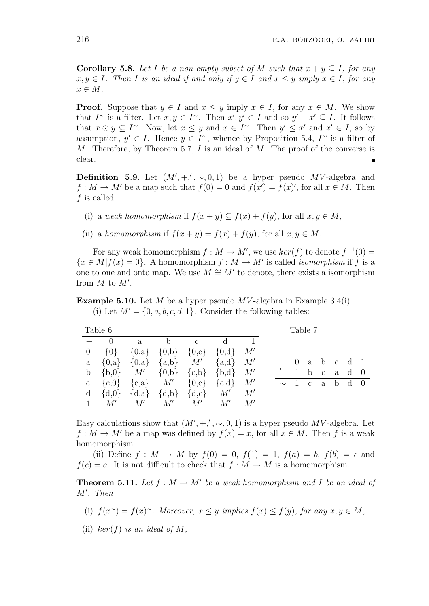**Corollary 5.8.** Let I be a non-empty subset of M such that  $x + y \subseteq I$ , for any  $x, y \in I$ . Then I is an ideal if and only if  $y \in I$  and  $x \leq y$  imply  $x \in I$ , for any  $x \in M$ .

**Proof.** Suppose that  $y \in I$  and  $x \leq y$  imply  $x \in I$ , for any  $x \in M$ . We show that  $I^{\sim}$  is a filter. Let  $x, y \in I^{\sim}$ . Then  $x', y' \in I$  and so  $y' + x' \subseteq I$ . It follows that  $x \odot y \subseteq I^{\sim}$ . Now, let  $x \leq y$  and  $x \in I^{\sim}$ . Then  $y' \leq x'$  and  $x' \in I$ , so by assumption,  $y' \in I$ . Hence  $y \in I^{\sim}$ , whence by Proposition 5.4,  $I^{\sim}$  is a filter of M. Therefore, by Theorem 5.7,  $I$  is an ideal of  $M$ . The proof of the converse is clear.  $\blacksquare$ 

**Definition 5.9.** Let  $(M', +, ', \sim, 0, 1)$  be a hyper pseudo MV-algebra and  $f: M \to M'$  be a map such that  $f(0) = 0$  and  $f(x') = f(x)'$ , for all  $x \in M$ . Then f is called

- (i) a weak homomorphism if  $f(x + y) \subseteq f(x) + f(y)$ , for all  $x, y \in M$ ,
- (ii) a homomorphism if  $f(x + y) = f(x) + f(y)$ , for all  $x, y \in M$ .

For any weak homomorphism  $f : M \to M'$ , we use  $ker(f)$  to denote  $f^{-1}(0) =$  ${x \in M | f(x) = 0}$ . A homomorphism  $f : M \to M'$  is called *isomorphism* if f is a one to one and onto map. We use  $M \cong M'$  to denote, there exists a isomorphism from  $M$  to  $M'$ .

**Example 5.10.** Let M be a hyper pseudo MV-algebra in Example 3.4(i). (i) Let  $M' = \{0, a, b, c, d, 1\}$ . Consider the following tables:

|                  | Table 6   |              |                |              |           |    |  | Table 7       |
|------------------|-----------|--------------|----------------|--------------|-----------|----|--|---------------|
|                  |           | $\mathbf{a}$ |                | $\mathbf{c}$ |           |    |  |               |
| $\left( \right)$ | 10}       | $\{0,a\}$    | $\{0,b\}$      | $\{0,c\}$    | $\{0,d\}$ | M' |  |               |
| a                | $\{0,a\}$ | $\{0,a\}$    | $\{a,b\}$ $M'$ |              | ${a,d}$   | M' |  | a             |
| b                | ${b,0}$   | M'           | $\{0,b\}$      | ${c,b}$      | ${b,d}$   | M' |  | b             |
| C                | ${c,0}$   | ${c,a}$ $M'$ |                | $\{0,c\}$    | ${c,d}$   | M' |  | $\mathcal{C}$ |
| d                | $\{d,0\}$ | $\{d,a\}$    | $\{d,b\}$      | $\{d,c\}$    | M'        | M' |  |               |
|                  |           |              |                | M'           | M'        | M' |  |               |

|  |  | $0$ a b c d 1        |  |
|--|--|----------------------|--|
|  |  | $1$ b c a d 0        |  |
|  |  | $\sim$   1 c a b d 0 |  |
|  |  |                      |  |

Easy calculations show that  $(M', +, ', \sim, 0, 1)$  is a hyper pseudo MV-algebra. Let  $f: M \to M'$  be a map was defined by  $f(x) = x$ , for all  $x \in M$ . Then f is a weak homomorphism.

(ii) Define  $f : M \to M$  by  $f(0) = 0$ ,  $f(1) = 1$ ,  $f(a) = b$ ,  $f(b) = c$  and  $f(c) = a$ . It is not difficult to check that  $f : M \to M$  is a homomorphism.

**Theorem 5.11.** Let  $f : M \to M'$  be a weak homomorphism and I be an ideal of  $M'$ . Then

(i) 
$$
f(x^{\sim}) = f(x)^{\sim}
$$
. Moreover,  $x \leq y$  implies  $f(x) \leq f(y)$ , for any  $x, y \in M$ ,

(ii) ker(f) is an ideal of M,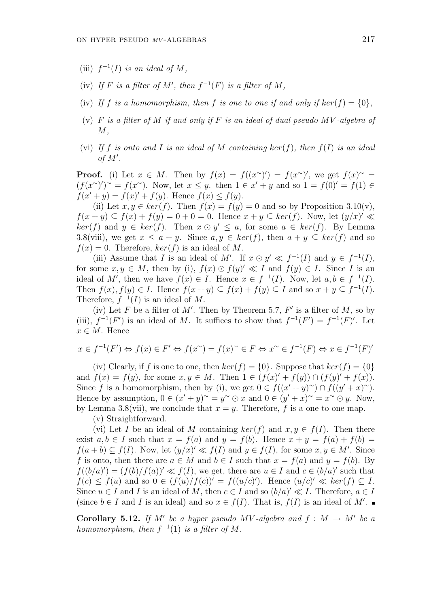- (iii)  $f^{-1}(I)$  is an ideal of M,
- (iv) If F is a filter of M', then  $f^{-1}(F)$  is a filter of M,
- (iv) If f is a homomorphism, then f is one to one if and only if  $\ker(f) = \{0\},\$
- (v)  $F$  is a filter of  $M$  if and only if  $F$  is an ideal of dual pseudo  $MV$ -algebra of  $M,$
- (vi) If f is onto and I is an ideal of M containing  $ker(f)$ , then  $f(I)$  is an ideal of  $M'$ .

**Proof.** (i) Let  $x \in M$ . Then by  $f(x) = f((x^{\sim})') = f(x^{\sim})'$ , we get  $f(x)^{\sim} =$  $(f(x^{\sim})')^{\sim} = f(x^{\sim})$ . Now, let  $x \leq y$ . then  $1 \in x' + y$  and so  $1 = f(0)' = f(1) \in$  $f(x'+y) = f(x)' + f(y)$ . Hence  $f(x) \le f(y)$ .

(ii) Let  $x, y \in \text{ker}(f)$ . Then  $f(x) = f(y) = 0$  and so by Proposition 3.10(v),  $f(x + y) \subseteq f(x) + f(y) = 0 + 0 = 0$ . Hence  $x + y \subseteq \text{ker}(f)$ . Now, let  $(y/x)' \ll$  $ker(f)$  and  $y \in ker(f)$ . Then  $x \odot y' \leq a$ , for some  $a \in ker(f)$ . By Lemma 3.8(viii), we get  $x \le a + y$ . Since  $a, y \in \text{ker}(f)$ , then  $a + y \subseteq \text{ker}(f)$  and so  $f(x) = 0$ . Therefore,  $ker(f)$  is an ideal of M.

(iii) Assume that I is an ideal of M'. If  $x \odot y' \ll f^{-1}(I)$  and  $y \in f^{-1}(I)$ , for some  $x, y \in M$ , then by (i),  $f(x) \odot f(y)' \ll I$  and  $f(y) \in I$ . Since I is an ideal of M', then we have  $f(x) \in I$ . Hence  $x \in f^{-1}(I)$ . Now, let  $a, b \in f^{-1}(I)$ . Then  $f(x)$ ,  $f(y) \in I$ . Hence  $f(x+y) \subseteq f(x) + f(y) \subseteq I$  and so  $x+y \subseteq f^{-1}(I)$ . Therefore,  $f^{-1}(I)$  is an ideal of M.

(iv) Let F be a filter of M'. Then by Theorem 5.7,  $F'$  is a filter of M, so by (iii),  $f^{-1}(F')$  is an ideal of M. It suffices to show that  $f^{-1}(F') = f^{-1}(F)'$ . Let  $x \in M$ . Hence

$$
x \in f^{-1}(F') \Leftrightarrow f(x) \in F' \Leftrightarrow f(x^{\sim}) = f(x)^{\sim} \in F \Leftrightarrow x^{\sim} \in f^{-1}(F) \Leftrightarrow x \in f^{-1}(F)'
$$

(iv) Clearly, if f is one to one, then  $ker(f) = \{0\}$ . Suppose that  $ker(f) = \{0\}$ and  $f(x) = f(y)$ , for some  $x, y \in M$ . Then  $1 \in (f(x)' + f(y)) \cap (f(y)' + f(x))$ . Since f is a homomorphism, then by (i), we get  $0 \in f((x'+y)^{\sim}) \cap f((y'+x)^{\sim})$ . Hence by assumption,  $0 \in (x'+y)^\sim = y^\sim \odot x$  and  $0 \in (y'+x)^\sim = x^\sim \odot y$ . Now, by Lemma 3.8(vii), we conclude that  $x = y$ . Therefore, f is a one to one map.

(v) Straightforward.

(vi) Let I be an ideal of M containing  $ker(f)$  and  $x, y \in f(I)$ . Then there exist  $a, b \in I$  such that  $x = f(a)$  and  $y = f(b)$ . Hence  $x + y = f(a) + f(b) = f(b)$  $f(a + b) \subseteq f(I)$ . Now, let  $(y/x)' \ll f(I)$  and  $y \in f(I)$ , for some  $x, y \in M'$ . Since f is onto, then there are  $a \in M$  and  $b \in I$  such that  $x = f(a)$  and  $y = f(b)$ . By  $f((b/a)') = (f(b)/f(a))' \ll f(I)$ , we get, there are  $u \in I$  and  $c \in (b/a)'$  such that  $f(c) \leq f(u)$  and so  $0 \in (f(u)/f(c))' = f((u/c)')$ . Hence  $(u/c)' \ll ker(f) \subseteq I$ . Since  $u \in I$  and I is an ideal of M, then  $c \in I$  and so  $(b/a)' \ll I$ . Therefore,  $a \in I$ (since  $b \in I$  and I is an ideal) and so  $x \in f(I)$ . That is,  $f(I)$  is an ideal of M'.

**Corollary 5.12.** If M' be a hyper pseudo MV-algebra and  $f : M \rightarrow M'$  be a homomorphism, then  $f^{-1}(1)$  is a filter of M.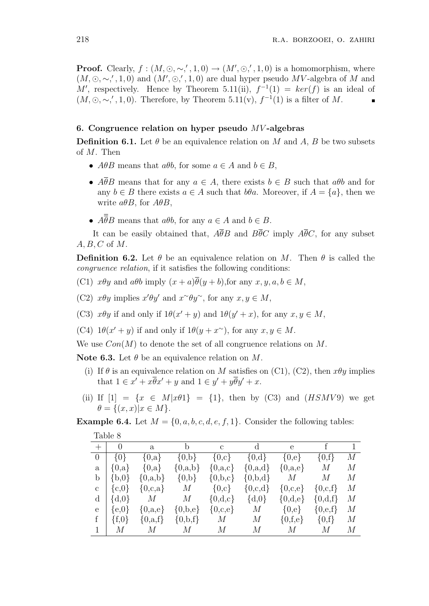**Proof.** Clearly,  $f : (M, \odot, \sim', 1, 0) \rightarrow (M', \odot', 1, 0)$  is a homomorphism, where  $(M, \odot, \sim', 1, 0)$  and  $(M', \odot', 1, 0)$  are dual hyper pseudo MV-algebra of M and M', respectively. Hence by Theorem 5.11(ii),  $f^{-1}(1) = ker(f)$  is an ideal of  $(M, \odot, \sim', 1, 0)$ . Therefore, by Theorem 5.11(v),  $f^{-1}(1)$  is a filter of M.

## 6. Congruence relation on hyper pseudo  $MV$ -algebras

**Definition 6.1.** Let  $\theta$  be an equivalence relation on M and A, B be two subsets of M. Then

- $A\theta B$  means that  $a\theta b$ , for some  $a \in A$  and  $b \in B$ ,
- $\overline{A}\overline{\theta}B$  means that for any  $a \in A$ , there exists  $b \in B$  such that  $a\theta b$  and for any  $b \in B$  there exists  $a \in A$  such that  $b\theta a$ . Moreover, if  $A = \{a\}$ , then we write  $a\theta B$ , for  $A\theta B$ ,
- $A\overline{\overline{\theta}}B$  means that  $a\theta b$ , for any  $a \in A$  and  $b \in B$ .

It can be easily obtained that,  $A\overline{\theta}B$  and  $B\overline{\theta}C$  imply  $A\overline{\theta}C$ , for any subset  $A, B, C$  of  $M$ .

**Definition 6.2.** Let  $\theta$  be an equivalence relation on M. Then  $\theta$  is called the congruence relation, if it satisfies the following conditions:

- (C1)  $x\theta y$  and  $a\theta b$  imply  $(x+a)\overline{\theta}(y+b)$ , for any  $x, y, a, b \in M$ ,
- (C2)  $x\theta y$  implies  $x'\theta y'$  and  $x\degree \theta y\degree$ , for any  $x, y \in M$ ,
- (C3)  $x\theta y$  if and only if  $1\theta(x'+y)$  and  $1\theta(y'+x)$ , for any  $x, y \in M$ ,
- (C4)  $1\theta(x'+y)$  if and only if  $1\theta(y+x^{\sim})$ , for any  $x, y \in M$ .

We use  $Con(M)$  to denote the set of all congruence relations on M.

Note 6.3. Let  $\theta$  be an equivalence relation on M.

- (i) If  $\theta$  is an equivalence relation on M satisfies on (C1), (C2), then  $x\theta y$  implies that  $1 \in x' + x\overline{\theta}x' + y$  and  $1 \in y' + y\overline{\theta}y' + x$ .
- (ii) If  $[1] = \{x \in M | x \theta 1\} = \{1\}$ , then by (C3) and  $(HSMV9)$  we get  $\theta = \{(x, x)|x \in M\}.$

**Example 6.4.** Let  $M = \{0, a, b, c, d, e, f, 1\}$ . Consider the following tables:

|                | rapie o                        |             |             |                               |                     |                                |                  |                |
|----------------|--------------------------------|-------------|-------------|-------------------------------|---------------------|--------------------------------|------------------|----------------|
|                | $\overline{0}$                 | a           | b           | $\mathbf{c}$                  | $\mathbf d$         | e                              |                  |                |
| $\overline{0}$ | $\{0\}$                        | $\{0,a\}$   | $\{0,b\}$   | $\{0,c\}$                     | $\{0,\mathrm{d}\}\$ | $\{0,e\}$                      | $\{0,f\}$        | $\overline{M}$ |
| a              | $\{0,a\}$                      | $\{0,a\}$   | $\{0,a,b\}$ | $\{0,a,c\}$                   | $\{0,a,d\}$         | $\{0,a,e\}$                    | $\overline{M}$   | $\overline{M}$ |
|                | $b   {b,0}$                    | $\{0,a,b\}$ | $\{0,b\}$   | $\{0,b,c\}$                   | $\{0,b,d\}$         | M                              | $\boldsymbol{M}$ | M              |
| $\mathbf{C}$   | $\left\{\mathrm{c,0}\right\}$  | $\{0,c,a\}$ | M           | $\{0,c\}$                     | ${0,c,d}$           | $\{0,c,e\}$                    | $\{0,c,f\}$      | $\overline{M}$ |
|                | $d   \{d,0\}$                  | M           | M           | $\{0,\mathrm{d},\mathrm{c}\}$ | $\{d,0\}$           | $\{0,\mathrm{d},\mathrm{e}\}\$ | $\{0,d,f\}$      | $\overline{M}$ |
| e              | $\{e,0\}$                      | $\{0,a,e\}$ | $\{0,b,e\}$ | $\{0,c,e\}$                   | M                   | $\{0,e\}$                      | $\{0,e,f\}$      | М              |
|                | $\vert \text{ } \{f,0\} \vert$ | $\{0,a,f\}$ | ${0,b,f}$   | M                             | M                   | $\{0,f,e\}$                    | $\{0,f\}$        | M              |
|                | $M_{\odot}$                    | M           | M           | М                             | M                   | M                              | М                | $\overline{M}$ |
|                |                                |             |             |                               |                     |                                |                  |                |

Table 8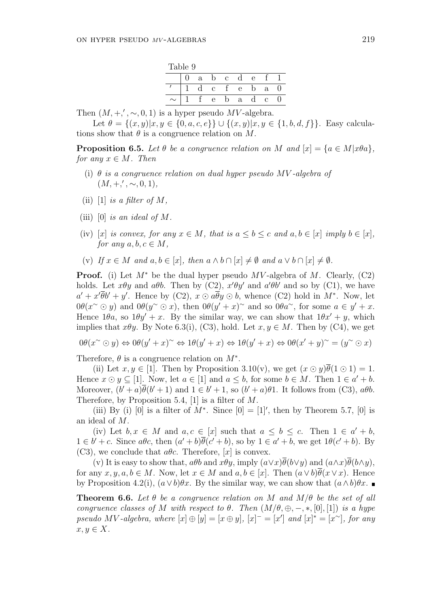| Table 9 |  |   |               |             |              |          |              |  |  |  |
|---------|--|---|---------------|-------------|--------------|----------|--------------|--|--|--|
|         |  | a | $\mathbf b$   | $\mathbf c$ | <sub>d</sub> | $\Theta$ |              |  |  |  |
|         |  |   | $\mathcal{C}$ |             | e            | h        | a            |  |  |  |
| $\sim$  |  |   | е             | D           | a            | п        | $\mathbf{c}$ |  |  |  |

Then  $(M, +, ', \sim, 0, 1)$  is a hyper pseudo MV-algebra.

Let  $\theta = \{(x, y)|x, y \in \{0, a, c, e\}\}\cup \{(x, y)|x, y \in \{1, b, d, f\}\}.$  Easy calculations show that  $\theta$  is a congruence relation on M.

**Proposition 6.5.** Let  $\theta$  be a congruence relation on M and  $[x] = \{a \in M | x \theta a\},\$ for any  $x \in M$ . Then

- (i)  $\theta$  is a congruence relation on dual hyper pseudo MV-algebra of  $(M, +, ', \sim, 0, 1),$
- (ii) [1] is a filter of  $M$ ,
- (iii)  $[0]$  is an ideal of M.
- (iv) [x] is convex, for any  $x \in M$ , that is  $a \leq b \leq c$  and  $a, b \in [x]$  imply  $b \in [x]$ , for any  $a, b, c \in M$ ,
- (v) If  $x \in M$  and  $a, b \in [x]$ , then  $a \wedge b \cap [x] \neq \emptyset$  and  $a \vee b \cap [x] \neq \emptyset$ .

**Proof.** (i) Let  $M^*$  be the dual hyper pseudo  $MV$ -algebra of M. Clearly, (C2) holds. Let  $x\theta y$  and  $a\theta b$ . Then by (C2),  $x'\theta y'$  and  $a'\theta b'$  and so by (C1), we have  $a' + x'\overline{\theta}b' + y'$ . Hence by (C2),  $x \odot a\overline{\theta}y \odot b$ , whence (C2) hold in  $M^*$ . Now, let  $0\theta(x^{\sim} \odot y)$  and  $0\theta(y^{\sim} \odot x)$ , then  $0\theta(y' + x)^{\sim}$  and so  $0\theta a^{\sim}$ , for some  $a \in y' + x$ . Hence  $1\theta a$ , so  $1\theta y' + x$ . By the similar way, we can show that  $1\theta x' + y$ , which implies that  $x\theta y$ . By Note 6.3(i), (C3), hold. Let  $x, y \in M$ . Then by (C4), we get

$$
0\theta(x^{\sim} \odot y) \Leftrightarrow 0\theta(y' + x)^{\sim} \Leftrightarrow 1\theta(y' + x) \Leftrightarrow 1\theta(y' + x) \Leftrightarrow 0\theta(x' + y)^{\sim} = (y^{\sim} \odot x)
$$

Therefore,  $\theta$  is a congruence relation on  $M^*$ .

(ii) Let  $x, y \in [1]$ . Then by Proposition 3.10(v), we get  $(x \odot y)\overline{\theta}(1 \odot 1) = 1$ . Hence  $x \odot y \subseteq [1]$ . Now, let  $a \in [1]$  and  $a \leq b$ , for some  $b \in M$ . Then  $1 \in a' + b$ . Moreover,  $(b'+a)\overline{\theta}(b'+1)$  and  $1 \in b'+1$ , so  $(b'+a)\theta1$ . It follows from (C3),  $a\theta b$ . Therefore, by Proposition 5.4, [1] is a filter of M.

(iii) By (i) [0] is a filter of  $M^*$ . Since  $[0] = [1]'$ , then by Theorem 5.7, [0] is an ideal of M.

(iv) Let  $b, x \in M$  and  $a, c \in [x]$  such that  $a \leq b \leq c$ . Then  $1 \in a' + b$ ,  $1 \in b' + c$ . Since  $a\theta c$ , then  $(a' + b)\overline{\theta}(c' + b)$ , so by  $1 \in a' + b$ , we get  $1\theta(c' + b)$ . By (C3), we conclude that  $a\theta c$ . Therefore, [x] is convex.

(v) It is easy to show that,  $a\theta b$  and  $x\theta y$ , imply  $(a\vee x)\overline{\theta}(b\vee y)$  and  $(a\wedge x)\overline{\theta}(b\wedge y)$ , for any  $x, y, a, b \in M$ . Now, let  $x \in M$  and  $a, b \in [x]$ . Then  $(a \vee b)\theta(x \vee x)$ . Hence by Proposition 4.2(i),  $(a \vee b)\theta x$ . By the similar way, we can show that  $(a \wedge b)\theta x$ .

**Theorem 6.6.** Let  $\theta$  be a congruence relation on M and  $M/\theta$  be the set of all congruence classes of M with respect to  $\theta$ . Then  $(M/\theta, \oplus, -, *, [0], [1])$  is a hype pseudo MV-algebra, where  $[x] \oplus [y] = [x \oplus y]$ ,  $[x]^- = [x']$  and  $[x]^* = [x^{\sim}]$ , for any  $x, y \in X$ .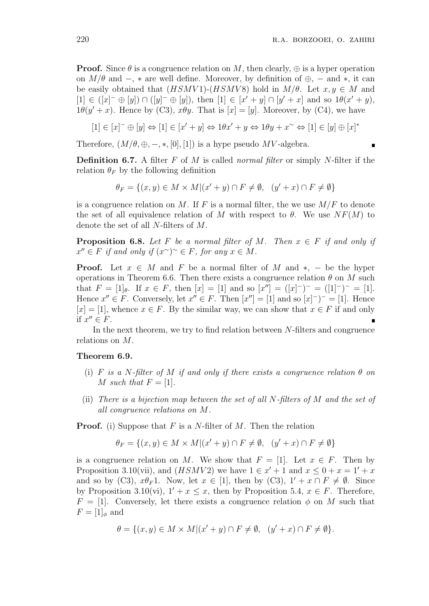**Proof.** Since  $\theta$  is a congruence relation on M, then clearly,  $\oplus$  is a hyper operation on  $M/\theta$  and  $-$ ,  $*$  are well define. Moreover, by definition of  $\oplus$ ,  $-$  and  $*$ , it can be easily obtained that  $(HSMV1)$ - $(HSMV8)$  hold in  $M/\theta$ . Let  $x, y \in M$  and  $[1] \in (x^- \oplus [y]) \cap ([y]^- \oplus [y])$ , then  $[1] \in [x' + y] \cap [y' + x]$  and so  $1\theta(x' + y)$ ,  $1\theta(y'+x)$ . Hence by (C3),  $x\theta y$ . That is  $[x] = [y]$ . Moreover, by (C4), we have

$$
[1] \in [x]^{-} \oplus [y] \Leftrightarrow [1] \in [x' + y] \Leftrightarrow 1\theta x' + y \Leftrightarrow 1\theta y + x^{\sim} \Leftrightarrow [1] \in [y] \oplus [x]^{*}
$$

Therefore,  $(M/\theta, \oplus, -, *, [0], [1])$  is a hype pseudo MV-algebra.

**Definition 6.7.** A filter  $F$  of  $M$  is called normal filter or simply N-filter if the relation  $\theta_F$  by the following definition

$$
\theta_F = \{(x, y) \in M \times M | (x' + y) \cap F \neq \emptyset, \ (y' + x) \cap F \neq \emptyset \}
$$

is a congruence relation on M. If F is a normal filter, the we use  $M/F$  to denote the set of all equivalence relation of M with respect to  $\theta$ . We use  $NF(M)$  to denote the set of all N-filters of M.

**Proposition 6.8.** Let F be a normal filter of M. Then  $x \in F$  if and only if  $x'' \in F$  if and only if  $(x^{\sim})^{\sim} \in F$ , for any  $x \in M$ .

**Proof.** Let  $x \in M$  and F be a normal filter of M and  $*$ , – be the hyper operations in Theorem 6.6. Then there exists a congruence relation  $\theta$  on M such that  $F = [1]_{\theta}$ . If  $x \in F$ , then  $[x] = [1]$  and so  $[x''] = ([x]^{-})^{-} = ([1]^{-})^{-} = [1]$ . Hence  $x'' \in F$ . Conversely, let  $x'' \in F$ . Then  $[x''] = [1]$  and so  $[x]^{-}$   $^{-}$  = [1]. Hence  $[x] = [1]$ , whence  $x \in F$ . By the similar way, we can show that  $x \in F$  if and only if  $x'' \in F$ .

In the next theorem, we try to find relation between N-filters and congruence relations on M.

### Theorem 6.9.

- (i) F is a N-filter of M if and only if there exists a congruence relation  $\theta$  on M such that  $F = [1]$ .
- (ii) There is a bijection map between the set of all N-filters of M and the set of all congruence relations on M.

**Proof.** (i) Suppose that F is a N-filter of M. Then the relation

$$
\theta_F = \{(x, y) \in M \times M | (x' + y) \cap F \neq \emptyset, \ (y' + x) \cap F \neq \emptyset \}
$$

is a congruence relation on M. We show that  $F = [1]$ . Let  $x \in F$ . Then by Proposition 3.10(vii), and  $(HSMV2)$  we have  $1 \in x' + 1$  and  $x \leq 0 + x = 1' + x$ and so by (C3),  $x\theta_F$ 1. Now, let  $x \in [1]$ , then by (C3),  $1' + x \cap F \neq \emptyset$ . Since by Proposition 3.10(vi),  $1' + x \leq x$ , then by Proposition 5.4,  $x \in F$ . Therefore,  $F = [1]$ . Conversely, let there exists a congruence relation  $\phi$  on M such that  $F=[1]_{\phi}$  and

$$
\theta = \{(x, y) \in M \times M | (x' + y) \cap F \neq \emptyset, \ (y' + x) \cap F \neq \emptyset \}.
$$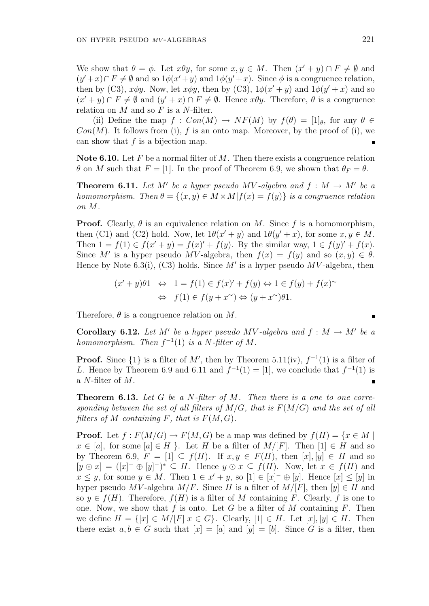We show that  $\theta = \phi$ . Let  $x \theta y$ , for some  $x, y \in M$ . Then  $(x' + y) \cap F \neq \emptyset$  and  $(y'+x)\cap F\neq\emptyset$  and so  $1\phi(x'+y)$  and  $1\phi(y'+x)$ . Since  $\phi$  is a congruence relation, then by (C3),  $x\phi y$ . Now, let  $x\phi y$ , then by (C3),  $1\phi(x'+y)$  and  $1\phi(y'+x)$  and so  $(x'+y) \cap F \neq \emptyset$  and  $(y'+x) \cap F \neq \emptyset$ . Hence  $x\theta y$ . Therefore,  $\theta$  is a congruence relation on  $M$  and so  $F$  is a  $N$ -filter.

(ii) Define the map  $f: Con(M) \to NF(M)$  by  $f(\theta) = [1]_{\theta}$ , for any  $\theta \in$  $Con(M)$ . It follows from (i), f is an onto map. Moreover, by the proof of (i), we can show that  $f$  is a bijection map.

Note 6.10. Let  $F$  be a normal filter of  $M$ . Then there exists a congruence relation  $\theta$  on M such that  $F = [1]$ . In the proof of Theorem 6.9, we shown that  $\theta_F = \theta$ .

**Theorem 6.11.** Let M' be a hyper pseudo MV-algebra and  $f : M \to M'$  be a homomorphism. Then  $\theta = \{(x, y) \in M \times M | f(x) = f(y) \}$  is a congruence relation on M.

**Proof.** Clearly,  $\theta$  is an equivalence relation on M. Since f is a homomorphism, then (C1) and (C2) hold. Now, let  $1\theta(x'+y)$  and  $1\theta(y'+x)$ , for some  $x, y \in M$ . Then  $1 = f(1) \in f(x'+y) = f(x)'+f(y)$ . By the similar way,  $1 \in f(y)' + f(x)$ . Since M' is a hyper pseudo MV-algebra, then  $f(x) = f(y)$  and so  $(x, y) \in \theta$ . Hence by Note 6.3(i), (C3) holds. Since  $M'$  is a hyper pseudo  $MV$ -algebra, then

$$
(x'+y)\theta 1 \Leftrightarrow 1 = f(1) \in f(x)' + f(y) \Leftrightarrow 1 \in f(y) + f(x)^{\sim}
$$
  

$$
\Leftrightarrow f(1) \in f(y + x^{\sim}) \Leftrightarrow (y + x^{\sim})\theta 1.
$$

Therefore,  $\theta$  is a congruence relation on M.

**Corollary 6.12.** Let M' be a hyper pseudo MV-algebra and  $f : M \to M'$  be a homomorphism. Then  $f^{-1}(1)$  is a N-filter of M.

**Proof.** Since  $\{1\}$  is a filter of M', then by Theorem 5.11(iv),  $f^{-1}(1)$  is a filter of L. Hence by Theorem 6.9 and 6.11 and  $f^{-1}(1) = [1]$ , we conclude that  $f^{-1}(1)$  is a N-filter of M.

**Theorem 6.13.** Let G be a N-filter of M. Then there is a one to one corresponding between the set of all filters of  $M/G$ , that is  $F(M/G)$  and the set of all filters of M containing F, that is  $F(M, G)$ .

**Proof.** Let  $f: F(M/G) \to F(M, G)$  be a map was defined by  $f(H) = \{x \in M \mid$  $x \in [a]$ , for some  $[a] \in H$ . Let H be a filter of  $M/[F]$ . Then  $[1] \in H$  and so by Theorem 6.9,  $F = [1] \subseteq f(H)$ . If  $x, y \in F(H)$ , then  $[x], [y] \in H$  and so  $[y \odot x] = ([x]^{-} \oplus [y]^{-})^{*} \subseteq H$ . Hence  $y \odot x \subseteq f(H)$ . Now, let  $x \in f(H)$  and  $x \leq y$ , for some  $y \in M$ . Then  $1 \in x' + y$ , so  $[1] \in [x]^{-} \oplus [y]$ . Hence  $[x] \leq [y]$  in hyper pseudo MV-algebra  $M/F$ . Since H is a filter of  $M/[F]$ , then  $[y] \in H$  and so  $y \in f(H)$ . Therefore,  $f(H)$  is a filter of M containing F. Clearly, f is one to one. Now, we show that  $f$  is onto. Let  $G$  be a filter of  $M$  containing  $F$ . Then we define  $H = \{ [x] \in M/|F| | x \in G \}$ . Clearly,  $[1] \in H$ . Let  $[x], [y] \in H$ . Then there exist  $a, b \in G$  such that  $[x] = [a]$  and  $[y] = [b]$ . Since G is a filter, then

$$
\blacksquare
$$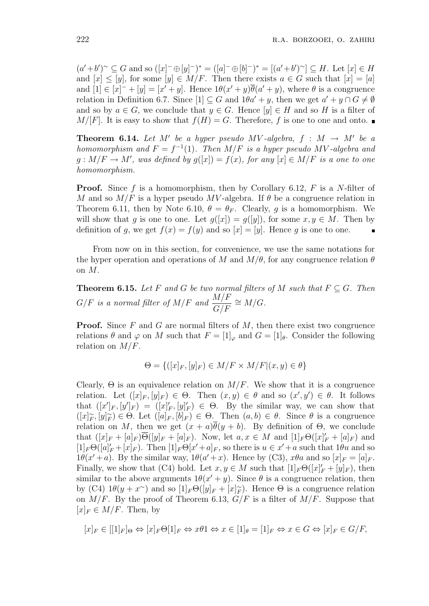$(a'+b')^{\sim} \subseteq G$  and so  $([x]^{-} \oplus [y]^{-})^* = ([a]^{-} \oplus [b]^{-})^* = [(a'+b')^{\sim}] \subseteq H$ . Let  $[x] \in H$ and  $[x] \leq [y]$ , for some  $[y] \in M/F$ . Then there exists  $a \in G$  such that  $[x] = [a]$ and  $[1] \in [x]^{-} + [y] = [x' + y]$ . Hence  $1\theta(x' + y)\overline{\theta}(a' + y)$ , where  $\theta$  is a congruence relation in Definition 6.7. Since  $[1] \subseteq G$  and  $1\theta a' + y$ , then we get  $a' + y \cap G \neq \emptyset$ and so by  $a \in G$ , we conclude that  $y \in G$ . Hence  $[y] \in H$  and so H is a filter of  $M/[F]$ . It is easy to show that  $f(H) = G$ . Therefore, f is one to one and onto.

**Theorem 6.14.** Let M' be a hyper pseudo MV-algebra,  $f : M \rightarrow M'$  be a homomorphism and  $F = f^{-1}(1)$ . Then  $M/F$  is a hyper pseudo MV-algebra and  $g: M/F \to M'$ , was defined by  $g([x]) = f(x)$ , for any  $[x] \in M/F$  is a one to one homomorphism.

**Proof.** Since f is a homomorphism, then by Corollary 6.12, F is a N-filter of M and so  $M/F$  is a hyper pseudo MV-algebra. If  $\theta$  be a congruence relation in Theorem 6.11, then by Note 6.10,  $\theta = \theta_F$ . Clearly, g is a homomorphism. We will show that g is one to one. Let  $g([x]) = g([y])$ , for some  $x, y \in M$ . Then by definition of g, we get  $f(x) = f(y)$  and so  $[x] = [y]$ . Hence g is one to one.

From now on in this section, for convenience, we use the same notations for the hyper operation and operations of M and  $M/\theta$ , for any congruence relation  $\theta$ on M.

**Theorem 6.15.** Let F and G be two normal filters of M such that  $F \subseteq G$ . Then  $G/F$  is a normal filter of  $M/F$  and  $\frac{M/F}{G/F}$  $\frac{M/F}{G/F} \cong M/G.$ 

**Proof.** Since  $F$  and  $G$  are normal filters of  $M$ , then there exist two congruence relations  $\theta$  and  $\varphi$  on M such that  $F = [1]_{\varphi}$  and  $G = [1]_{\theta}$ . Consider the following relation on  $M/F$ .

$$
\Theta = \{ ([x]_F, [y]_F) \in M/F \times M/F | (x, y) \in \theta \}
$$

Clearly,  $\Theta$  is an equivalence relation on  $M/F$ . We show that it is a congruence relation. Let  $([x]_F,[y]_F) \in \Theta$ . Then  $(x,y) \in \theta$  and so  $(x',y') \in \theta$ . It follows that  $([x']_F, [y']_F) = ([x']_F, [y]_F') \in \Theta$ . By the similar way, we can show that  $([x]_F^\sim, [y]_F^\sim) \in \Theta$ . Let  $([a]_F, [b]_F) \in \Theta$ . Then  $(a, b) \in \theta$ . Since  $\theta$  is a congruence relation on M, then we get  $(x + a)\theta(y + b)$ . By definition of  $\Theta$ , we conclude that  $([x]_F+[a]_F)\overline{\Theta}([y]_F+[a]_F)$ . Now, let  $a, x \in M$  and  $[1]_F\Theta([x]_F+[a]_F)$  and  $[1]_F\Theta([a]_F+[x]_F)$ . Then  $[1]_F\Theta[x'+a]_F$ , so there is  $u \in x'+a$  such that  $1\theta u$  and so  $1\theta(x'+a)$ . By the similar way,  $1\theta(a'+x)$ . Hence by (C3),  $x\theta a$  and so  $[x]_F = [a]_F$ . Finally, we show that (C4) hold. Let  $x, y \in M$  such that  $[1]_F \Theta([x]_F' + [y]_F)$ , then similar to the above arguments  $1\theta(x'+y)$ . Since  $\theta$  is a congruence relation, then by (C4)  $1\theta(y+x^{\sim})$  and so  $[1]_F\Theta([y]_F+[x]_F^{\sim})$ . Hence  $\Theta$  is a congruence relation on  $M/F$ . By the proof of Theorem 6.13,  $G/F$  is a filter of  $M/F$ . Suppose that  $[x]_F \in M/F$ . Then, by

$$
[x]_F \in [[1]_F]_\Theta \Leftrightarrow [x]_F \Theta[1]_F \Leftrightarrow x\theta 1 \Leftrightarrow x \in [1]_\theta = [1]_F \Leftrightarrow x \in G \Leftrightarrow [x]_F \in G/F,
$$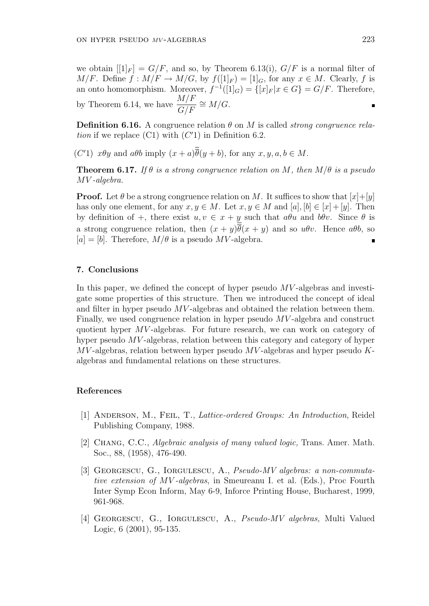we obtain  $[1]_F$  =  $G/F$ , and so, by Theorem 6.13(i),  $G/F$  is a normal filter of  $M/F$ . Define  $f : M/F \to M/G$ , by  $f([1]_F) = [1]_G$ , for any  $x \in M$ . Clearly, f is an onto homomorphism. Moreover,  $f^{-1}([1]_G) = \{ [x]_F | x \in G \} = G/F$ . Therefore, by Theorem 6.14, we have  $\frac{M/F}{G/F}$  $\frac{M/F}{G/F} \cong M/G.$ 

**Definition 6.16.** A congruence relation  $\theta$  on M is called *strong congruence rela*tion if we replace  $(Cl)$  with  $(C'1)$  in Definition 6.2.

(C'1)  $x\theta y$  and  $a\theta b$  imply  $(x+a)\overline{\theta}(y+b)$ , for any  $x, y, a, b \in M$ .

**Theorem 6.17.** If  $\theta$  is a strong congruence relation on M, then  $M/\theta$  is a pseudo MV -algebra.

**Proof.** Let  $\theta$  be a strong congruence relation on M. It suffices to show that  $[x]+[y]$ has only one element, for any  $x, y \in M$ . Let  $x, y \in M$  and  $[a], [b] \in [x] + [y]$ . Then by definition of +, there exist  $u, v \in x + y$  such that  $a\theta u$  and  $b\theta v$ . Since  $\theta$  is a strong congruence relation, then  $(x + y)\theta(x + y)$  and so  $u\theta v$ . Hence  $a\theta b$ , so  $[a] = [b]$ . Therefore,  $M/\theta$  is a pseudo MV-algebra.

### 7. Conclusions

In this paper, we defined the concept of hyper pseudo  $MV$ -algebras and investigate some properties of this structure. Then we introduced the concept of ideal and filter in hyper pseudo MV -algebras and obtained the relation between them. Finally, we used congruence relation in hyper pseudo MV -algebra and construct quotient hyper MV -algebras. For future research, we can work on category of hyper pseudo MV -algebras, relation between this category and category of hyper  $MV$ -algebras, relation between hyper pseudo  $MV$ -algebras and hyper pseudo  $K$ algebras and fundamental relations on these structures.

## References

- [1] Anderson, M., Feil, T., Lattice-ordered Groups: An Introduction, Reidel Publishing Company, 1988.
- [2] Chang, C.C., Algebraic analysis of many valued logic, Trans. Amer. Math. Soc., 88, (1958), 476-490.
- [3] GEORGESCU, G., IORGULESCU, A., Pseudo-MV algebras: a non-commutative extension of MV -algebras, in Smeureanu I. et al. (Eds.), Proc Fourth Inter Symp Econ Inform, May 6-9, Inforce Printing House, Bucharest, 1999, 961-968.
- [4] Georgescu, G., Iorgulescu, A., Pseudo-MV algebras, Multi Valued Logic, 6 (2001), 95-135.